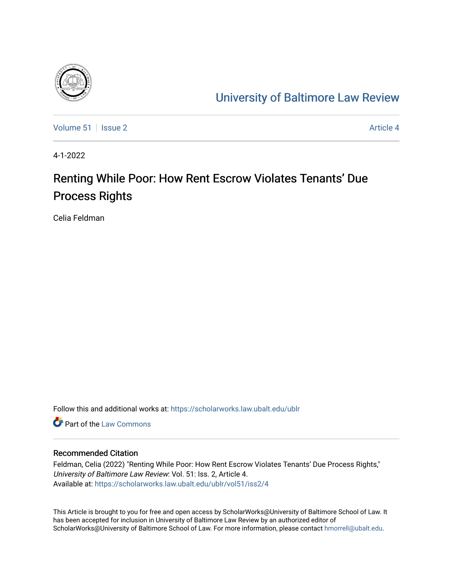

## [University of Baltimore Law Review](https://scholarworks.law.ubalt.edu/ublr)

[Volume 51](https://scholarworks.law.ubalt.edu/ublr/vol51) | [Issue 2](https://scholarworks.law.ubalt.edu/ublr/vol51/iss2) Article 4

4-1-2022

# Renting While Poor: How Rent Escrow Violates Tenants' Due Process Rights

Celia Feldman

Follow this and additional works at: [https://scholarworks.law.ubalt.edu/ublr](https://scholarworks.law.ubalt.edu/ublr?utm_source=scholarworks.law.ubalt.edu%2Fublr%2Fvol51%2Fiss2%2F4&utm_medium=PDF&utm_campaign=PDFCoverPages)

**C** Part of the [Law Commons](https://network.bepress.com/hgg/discipline/578?utm_source=scholarworks.law.ubalt.edu%2Fublr%2Fvol51%2Fiss2%2F4&utm_medium=PDF&utm_campaign=PDFCoverPages)

### Recommended Citation

Feldman, Celia (2022) "Renting While Poor: How Rent Escrow Violates Tenants' Due Process Rights," University of Baltimore Law Review: Vol. 51: Iss. 2, Article 4. Available at: [https://scholarworks.law.ubalt.edu/ublr/vol51/iss2/4](https://scholarworks.law.ubalt.edu/ublr/vol51/iss2/4?utm_source=scholarworks.law.ubalt.edu%2Fublr%2Fvol51%2Fiss2%2F4&utm_medium=PDF&utm_campaign=PDFCoverPages)

This Article is brought to you for free and open access by ScholarWorks@University of Baltimore School of Law. It has been accepted for inclusion in University of Baltimore Law Review by an authorized editor of ScholarWorks@University of Baltimore School of Law. For more information, please contact [hmorrell@ubalt.edu](mailto:hmorrell@ubalt.edu).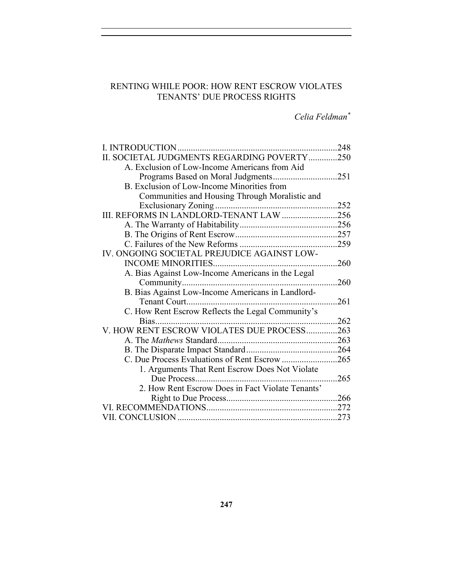## RENTING WHILE POOR: HOW RENT ESCROW VIOLATES TENANTS' DUE PROCESS RIGHTS

*Celia Feldman\**

| II. SOCIETAL JUDGMENTS REGARDING POVERTY250       |      |
|---------------------------------------------------|------|
| A. Exclusion of Low-Income Americans from Aid     |      |
| Programs Based on Moral Judgments251              |      |
| B. Exclusion of Low-Income Minorities from        |      |
| Communities and Housing Through Moralistic and    |      |
|                                                   |      |
| III. REFORMS IN LANDLORD-TENANT LAW 256           |      |
|                                                   |      |
|                                                   |      |
|                                                   |      |
| IV. ONGOING SOCIETAL PREJUDICE AGAINST LOW-       |      |
|                                                   |      |
| A. Bias Against Low-Income Americans in the Legal |      |
|                                                   | .260 |
|                                                   |      |
| Tenant Court<br>261                               |      |
| C. How Rent Escrow Reflects the Legal Community's |      |
|                                                   |      |
| V. HOW RENT ESCROW VIOLATES DUE PROCESS263        |      |
|                                                   |      |
|                                                   |      |
| C. Due Process Evaluations of Rent Escrow 265     |      |
| 1. Arguments That Rent Escrow Does Not Violate    |      |
|                                                   | 265  |
| 2. How Rent Escrow Does in Fact Violate Tenants'  |      |
|                                                   |      |
|                                                   |      |
|                                                   |      |
|                                                   |      |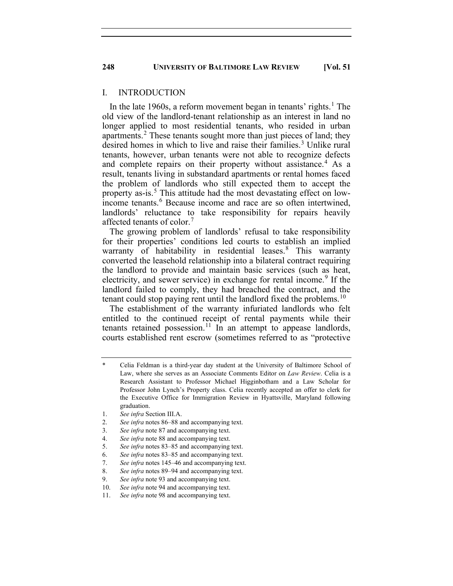#### I. INTRODUCTION

In the late [1](#page-2-0)960s, a reform movement began in tenants' rights.<sup>1</sup> The old view of the landlord-tenant relationship as an interest in land no longer applied to most residential tenants, who resided in urban apartments.<sup>[2](#page-2-1)</sup> These tenants sought more than just pieces of land; they desired homes in which to live and raise their families. [3](#page-2-2) Unlike rural tenants, however, urban tenants were not able to recognize defects and complete repairs on their property without assistance. [4](#page-2-3) As a result, tenants living in substandard apartments or rental homes faced the problem of landlords who still expected them to accept the property as-is.<sup>[5](#page-2-4)</sup> This attitude had the most devastating effect on low-income tenants.<sup>[6](#page-2-5)</sup> Because income and race are so often intertwined, landlords' reluctance to take responsibility for repairs heavily affected tenants of color.<sup>[7](#page-2-6)</sup>

The growing problem of landlords' refusal to take responsibility for their properties' conditions led courts to establish an implied warranty of habitability in residential leases.<sup>[8](#page-2-7)</sup> This warranty converted the leasehold relationship into a bilateral contract requiring the landlord to provide and maintain basic services (such as heat, electricity, and sewer service) in exchange for rental income.<sup>[9](#page-2-8)</sup> If the landlord failed to comply, they had breached the contract, and the tenant could stop paying rent until the landlord fixed the problems.<sup>[10](#page-2-9)</sup>

The establishment of the warranty infuriated landlords who felt entitled to the continued receipt of rental payments while their tenants retained possession.<sup>[11](#page-2-10)</sup> In an attempt to appease landlords, courts established rent escrow (sometimes referred to as "protective

<span id="page-2-0"></span>Celia Feldman is a third-year day student at the University of Baltimore School of Law, where she serves as an Associate Comments Editor on *Law Review*. Celia is a Research Assistant to Professor Michael Higginbotham and a Law Scholar for Professor John Lynch's Property class. Celia recently accepted an offer to clerk for the Executive Office for Immigration Review in Hyattsville, Maryland following graduation.

<sup>1.</sup> *See infra* Section III.A.

<span id="page-2-2"></span><span id="page-2-1"></span><sup>2.</sup> *See infra* notes 86–88 and accompanying text.

<sup>3.</sup> *See infra* note 87 and accompanying text.

<span id="page-2-4"></span><span id="page-2-3"></span><sup>4.</sup> *See infra* note 88 and accompanying text.

<sup>5.</sup> *See infra* notes 83–85 and accompanying text.

<span id="page-2-5"></span><sup>6.</sup> *See infra* notes 83–85 and accompanying text.

<span id="page-2-7"></span><span id="page-2-6"></span><sup>7.</sup> *See infra* notes 145–46 and accompanying text.

<sup>8.</sup> *See infra* notes 89–94 and accompanying text.

<span id="page-2-8"></span><sup>9.</sup> *See infra* note 93 and accompanying text.

<sup>10.</sup> *See infra* note 94 and accompanying text.

<span id="page-2-10"></span><span id="page-2-9"></span><sup>11.</sup> *See infra* note 98 and accompanying text.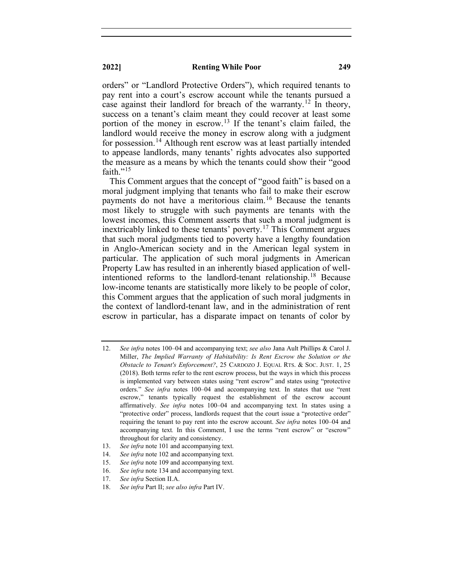orders" or "Landlord Protective Orders"), which required tenants to pay rent into a court's escrow account while the tenants pursued a case against their landlord for breach of the warranty.<sup>[12](#page-3-0)</sup> In theory, success on a tenant's claim meant they could recover at least some portion of the money in escrow.<sup>[13](#page-3-1)</sup> If the tenant's claim failed, the landlord would receive the money in escrow along with a judgment for possession.<sup>[14](#page-3-2)</sup> Although rent escrow was at least partially intended to appease landlords, many tenants' rights advocates also supported the measure as a means by which the tenants could show their "good faith."<sup>[15](#page-3-3)</sup>

This Comment argues that the concept of "good faith" is based on a moral judgment implying that tenants who fail to make their escrow payments do not have a meritorious claim.<sup>[16](#page-3-4)</sup> Because the tenants most likely to struggle with such payments are tenants with the lowest incomes, this Comment asserts that such a moral judgment is inextricably linked to these tenants' poverty.<sup>[17](#page-3-5)</sup> This Comment argues that such moral judgments tied to poverty have a lengthy foundation in Anglo-American society and in the American legal system in particular. The application of such moral judgments in American Property Law has resulted in an inherently biased application of well-intentioned reforms to the landlord-tenant relationship.<sup>[18](#page-3-6)</sup> Because low-income tenants are statistically more likely to be people of color, this Comment argues that the application of such moral judgments in the context of landlord-tenant law, and in the administration of rent escrow in particular, has a disparate impact on tenants of color by

- <span id="page-3-0"></span>12. *See infra* notes 100–04 and accompanying text; *see also* Jana Ault Phillips & Carol J. Miller, *The Implied Warranty of Habitability: Is Rent Escrow the Solution or the Obstacle to Tenant's Enforcement?*, 25 CARDOZO J. EQUAL RTS. & SOC. JUST. 1, 25 (2018). Both terms refer to the rent escrow process, but the ways in which this process is implemented vary between states using "rent escrow" and states using "protective orders." *See infra* notes 100–04 and accompanying text*.* In states that use "rent escrow," tenants typically request the establishment of the escrow account affirmatively. *See infra* notes 100–04 and accompanying text*.* In states using a "protective order" process, landlords request that the court issue a "protective order" requiring the tenant to pay rent into the escrow account. *See infra* notes 100–04 and accompanying text*.* In this Comment, I use the terms "rent escrow" or "escrow" throughout for clarity and consistency.
- <span id="page-3-1"></span>13. *See infra* note 101 and accompanying text.
- <span id="page-3-2"></span>14. *See infra* note 102 and accompanying text.
- <span id="page-3-3"></span>15. *See infra* note 109 and accompanying text.
- <span id="page-3-4"></span>16. *See infra* note 134 and accompanying text.
- <span id="page-3-5"></span>17. *See infra* Section II.A.
- <span id="page-3-6"></span>18. *See infra* Part II; *see also infra* Part IV.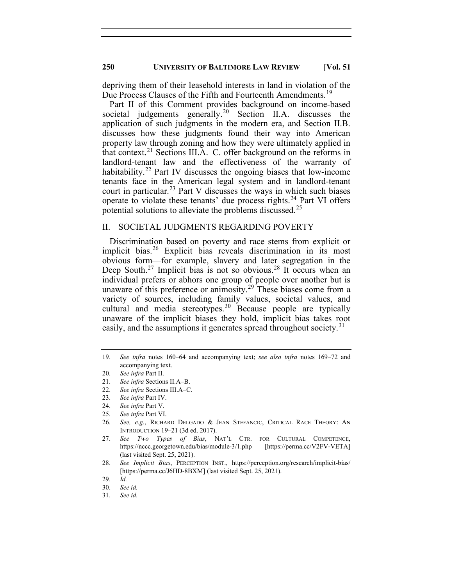depriving them of their leasehold interests in land in violation of the Due Process Clauses of the Fifth and Fourteenth Amendments.<sup>[19](#page-4-0)</sup>

Part II of this Comment provides background on income-based societal judgements generally.<sup>[20](#page-4-1)</sup> Section II.A. discusses the application of such judgments in the modern era, and Section II.B. discusses how these judgments found their way into American property law through zoning and how they were ultimately applied in that context.<sup>[21](#page-4-2)</sup> Sections III.A.–C. offer background on the reforms in landlord-tenant law and the effectiveness of the warranty of habitability.<sup>[22](#page-4-3)</sup> Part IV discusses the ongoing biases that low-income tenants face in the American legal system and in landlord-tenant court in particular. [23](#page-4-4) Part V discusses the ways in which such biases operate to violate these tenants' due process rights. [24](#page-4-5) Part VI offers potential solutions to alleviate the problems discussed.<sup>[25](#page-4-6)</sup>

#### II. SOCIETAL JUDGMENTS REGARDING POVERTY

Discrimination based on poverty and race stems from explicit or implicit bias.<sup>[26](#page-4-7)</sup> Explicit bias reveals discrimination in its most obvious form—for example, slavery and later segregation in the Deep South.<sup>[27](#page-4-8)</sup> Implicit bias is not so obvious.<sup>[28](#page-4-9)</sup> It occurs when an individual prefers or abhors one group of people over another but is unaware of this preference or animosity.<sup>[29](#page-4-10)</sup> These biases come from a variety of sources, including family values, societal values, and cultural and media stereotypes.<sup>[30](#page-4-11)</sup> Because people are typically unaware of the implicit biases they hold, implicit bias takes root easily, and the assumptions it generates spread throughout society.<sup>[31](#page-4-12)</sup>

22. *See infra* Sections III.A–C.

- 24. *See infra* Part V.
- 25. *See infra* Part VI.

<span id="page-4-0"></span><sup>19.</sup> *See infra* notes 160–64 and accompanying text; *see also infra* notes 169–72 and accompanying text.

<span id="page-4-1"></span><sup>20.</sup> *See infra* Part II.

<span id="page-4-3"></span><span id="page-4-2"></span><sup>21.</sup> *See infra* Sections II.A–B.

<span id="page-4-5"></span><span id="page-4-4"></span><sup>23.</sup> *See infra* Part IV.

<span id="page-4-7"></span><span id="page-4-6"></span><sup>26.</sup> *See, e.g.*, RICHARD DELGADO & JEAN STEFANCIC, CRITICAL RACE THEORY: AN INTRODUCTION 19–21 (3d ed. 2017).

<span id="page-4-8"></span><sup>27.</sup> *See Two Types of Bias*, NAT'L CTR. FOR CULTURAL COMPETENCE, https://nccc.georgetown.edu/bias/module-3/1.php [https://perma.cc/V2FV-VETA] (last visited Sept. 25, 2021).

<span id="page-4-9"></span><sup>28.</sup> *See Implicit Bias*, PERCEPTION INST., https://perception.org/research/implicit-bias/ [https://perma.cc/J6HD-8BXM] (last visited Sept. 25, 2021).

<span id="page-4-10"></span><sup>29.</sup> *Id.*

<sup>30.</sup> *See id.*

<span id="page-4-12"></span><span id="page-4-11"></span><sup>31.</sup> *See id.*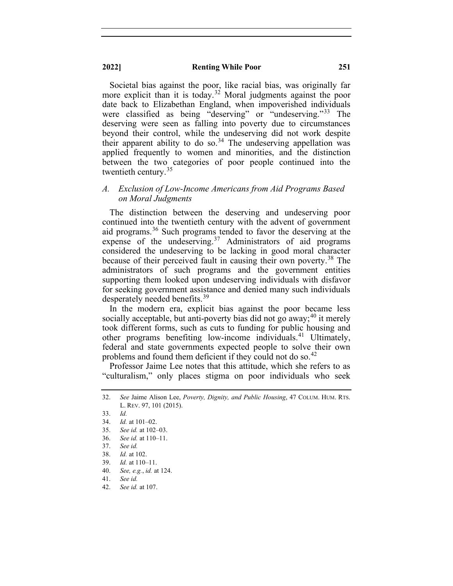Societal bias against the poor, like racial bias, was originally far more explicit than it is today.<sup>[32](#page-5-0)</sup> Moral judgments against the poor date back to Elizabethan England, when impoverished individuals were classified as being "deserving" or "undeserving."<sup>[33](#page-5-1)</sup> The deserving were seen as falling into poverty due to circumstances beyond their control, while the undeserving did not work despite their apparent ability to do so.<sup>[34](#page-5-2)</sup> The undeserving appellation was applied frequently to women and minorities, and the distinction between the two categories of poor people continued into the twentieth century.<sup>[35](#page-5-3)</sup>

### *A. Exclusion of Low-Income Americans from Aid Programs Based on Moral Judgments*

The distinction between the deserving and undeserving poor continued into the twentieth century with the advent of government aid programs.[36](#page-5-4) Such programs tended to favor the deserving at the expense of the undeserving. $37$  Administrators of aid programs considered the undeserving to be lacking in good moral character because of their perceived fault in causing their own poverty. [38](#page-5-6) The administrators of such programs and the government entities supporting them looked upon undeserving individuals with disfavor for seeking government assistance and denied many such individuals desperately needed benefits.<sup>[39](#page-5-7)</sup>

In the modern era, explicit bias against the poor became less socially acceptable, but anti-poverty bias did not go away;<sup>[40](#page-5-8)</sup> it merely took different forms, such as cuts to funding for public housing and other programs benefiting low-income individuals.<sup>[41](#page-5-9)</sup> Ultimately, federal and state governments expected people to solve their own problems and found them deficient if they could not do so.<sup>[42](#page-5-10)</sup>

Professor Jaime Lee notes that this attitude, which she refers to as "culturalism," only places stigma on poor individuals who seek

<span id="page-5-0"></span><sup>32.</sup> *See* Jaime Alison Lee, *Poverty, Dignity, and Public Housing*, 47 COLUM. HUM. RTS. L. REV. 97, 101 (2015).

<span id="page-5-2"></span><span id="page-5-1"></span><sup>33.</sup> *Id.*

<sup>34.</sup> *Id.* at 101–02.

<span id="page-5-3"></span><sup>35.</sup> *See id.* at 102–03.

<span id="page-5-4"></span><sup>36.</sup> *See id.* at 110–11.

<span id="page-5-5"></span><sup>37.</sup> *See id.*

<span id="page-5-6"></span><sup>38.</sup> *Id.* at 102.

<span id="page-5-7"></span><sup>39.</sup> *Id.* at 110–11.

<span id="page-5-8"></span><sup>40.</sup> *See, e.g.*, *id.* at 124.

<span id="page-5-9"></span><sup>41.</sup> *See id.*

<span id="page-5-10"></span><sup>42.</sup> *See id.* at 107.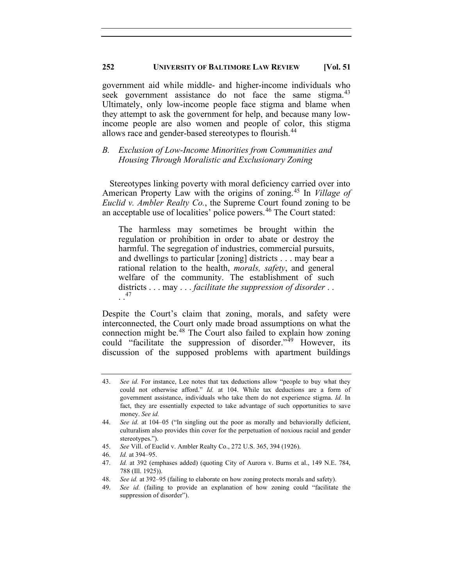government aid while middle- and higher-income individuals who seek government assistance do not face the same stigma.<sup>[43](#page-6-0)</sup> Ultimately, only low-income people face stigma and blame when they attempt to ask the government for help, and because many lowincome people are also women and people of color, this stigma allows race and gender-based stereotypes to flourish.<sup>[44](#page-6-1)</sup>

### *B. Exclusion of Low-Income Minorities from Communities and Housing Through Moralistic and Exclusionary Zoning*

Stereotypes linking poverty with moral deficiency carried over into American Property Law with the origins of zoning.[45](#page-6-2) In *Village of Euclid v. Ambler Realty Co.*, the Supreme Court found zoning to be an acceptable use of localities' police powers. [46](#page-6-3) The Court stated:

The harmless may sometimes be brought within the regulation or prohibition in order to abate or destroy the harmful. The segregation of industries, commercial pursuits, and dwellings to particular [zoning] districts . . . may bear a rational relation to the health, *morals, safety*, and general welfare of the community. The establishment of such districts . . . may . . . *facilitate the suppression of disorder* . . . .[47](#page-6-4)

Despite the Court's claim that zoning, morals, and safety were interconnected, the Court only made broad assumptions on what the connection might be. [48](#page-6-5) The Court also failed to explain how zoning could "facilitate the suppression of disorder."[49](#page-6-6) However, its discussion of the supposed problems with apartment buildings

<span id="page-6-2"></span>45. *See* Vill. of Euclid v. Ambler Realty Co., 272 U.S. 365, 394 (1926).

- 48. *See id.* at 392–95 (failing to elaborate on how zoning protects morals and safety).
- <span id="page-6-6"></span><span id="page-6-5"></span>49. *See id.* (failing to provide an explanation of how zoning could "facilitate the suppression of disorder").

<span id="page-6-0"></span><sup>43.</sup> *See id.* For instance, Lee notes that tax deductions allow "people to buy what they could not otherwise afford." *Id.* at 104. While tax deductions are a form of government assistance, individuals who take them do not experience stigma. *Id.* In fact, they are essentially expected to take advantage of such opportunities to save money. *See id.*

<span id="page-6-1"></span><sup>44.</sup> *See id.* at 104–05 ("In singling out the poor as morally and behaviorally deficient, culturalism also provides thin cover for the perpetuation of noxious racial and gender stereotypes.").

<span id="page-6-3"></span><sup>46.</sup> *Id.* at 394–95.

<span id="page-6-4"></span><sup>47.</sup> *Id.* at 392 (emphases added) (quoting City of Aurora v. Burns et al., 149 N.E. 784, 788 (Ill. 1925)).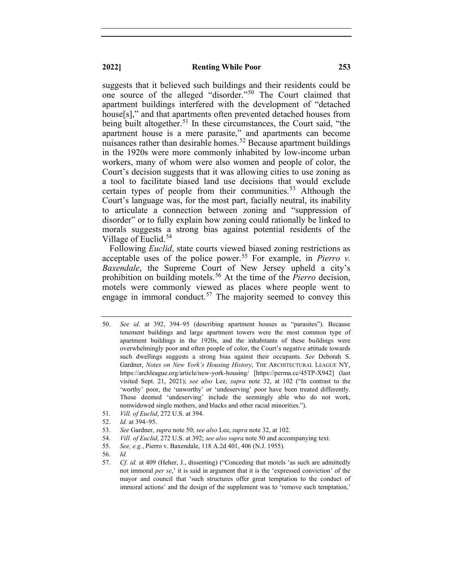suggests that it believed such buildings and their residents could be one source of the alleged "disorder."[50](#page-7-0) The Court claimed that apartment buildings interfered with the development of "detached house[s]," and that apartments often prevented detached houses from being built altogether.<sup>[51](#page-7-1)</sup> In these circumstances, the Court said, "the apartment house is a mere parasite," and apartments can become nuisances rather than desirable homes.<sup>[52](#page-7-2)</sup> Because apartment buildings in the 1920s were more commonly inhabited by low-income urban workers, many of whom were also women and people of color, the Court's decision suggests that it was allowing cities to use zoning as a tool to facilitate biased land use decisions that would exclude certain types of people from their communities.<sup>[53](#page-7-3)</sup> Although the Court's language was, for the most part, facially neutral, its inability to articulate a connection between zoning and "suppression of disorder" or to fully explain how zoning could rationally be linked to morals suggests a strong bias against potential residents of the Village of Euclid.<sup>[54](#page-7-4)</sup>

Following *Euclid*, state courts viewed biased zoning restrictions as acceptable uses of the police power.<sup>[55](#page-7-5)</sup> For example, in *Pierro v*. *Baxendale*, the Supreme Court of New Jersey upheld a city's prohibition on building motels.[56](#page-7-6) At the time of the *Pierro* decision, motels were commonly viewed as places where people went to engage in immoral conduct.<sup>[57](#page-7-7)</sup> The majority seemed to convey this

- <span id="page-7-3"></span>53. *See* Gardner, *supra* note 50; *see also* Lee, *supra* note 32, at 102.
- <span id="page-7-4"></span>54. *Vill. of Euclid*, 272 U.S. at 392; *see also supra* note 50 and accompanying text.
- <span id="page-7-5"></span>55. *See, e.g.*, Pierro v. Baxendale, 118 A.2d 401, 406 (N.J. 1955).
- <span id="page-7-6"></span>56. *Id.*

<span id="page-7-0"></span><sup>50.</sup> *See id.* at 392, 394–95 (describing apartment houses as "parasites"). Because tenement buildings and large apartment towers were the most common type of apartment buildings in the 1920s, and the inhabitants of these buildings were overwhelmingly poor and often people of color, the Court's negative attitude towards such dwellings suggests a strong bias against their occupants. *See* Deborah S. Gardner, *Notes on New York's Housing History*, THE ARCHITECTURAL LEAGUE NY, https://archleague.org/article/new-york-housing/ [https://perma.cc/45TP-X942] (last visited Sept. 21, 2021); *see also* Lee, *supra* note 32, at 102 ("In contrast to the 'worthy' poor, the 'unworthy' or 'undeserving' poor have been treated differently. Those deemed 'undeserving' include the seemingly able who do not work, nonwidowed single mothers, and blacks and other racial minorities.").

<span id="page-7-2"></span><span id="page-7-1"></span><sup>51.</sup> *Vill. of Euclid*, 272 U.S. at 394.

<sup>52.</sup> *Id.* at 394–95.

<span id="page-7-7"></span><sup>57.</sup> *Cf. id.* at 409 (Heher, J., dissenting) ("Conceding that motels 'as such are admittedly not immoral *per se*,' it is said in argument that it is the 'expressed conviction' of the mayor and council that 'such structures offer great temptation to the conduct of immoral actions' and the design of the supplement was to 'remove such temptation,'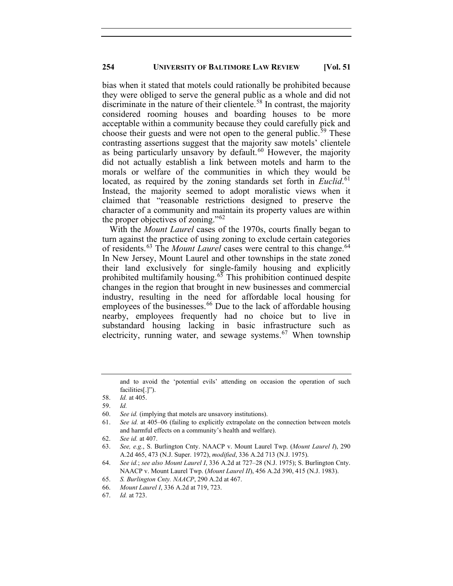bias when it stated that motels could rationally be prohibited because they were obliged to serve the general public as a whole and did not discriminate in the nature of their clientele.<sup>[58](#page-8-0)</sup> In contrast, the majority considered rooming houses and boarding houses to be more acceptable within a community because they could carefully pick and choose their guests and were not open to the general public.<sup>[59](#page-8-1)</sup> These contrasting assertions suggest that the majority saw motels' clientele as being particularly unsavory by default.<sup>[60](#page-8-2)</sup> However, the majority did not actually establish a link between motels and harm to the morals or welfare of the communities in which they would be located, as required by the zoning standards set forth in *Euclid*. [61](#page-8-3) Instead, the majority seemed to adopt moralistic views when it claimed that "reasonable restrictions designed to preserve the character of a community and maintain its property values are within the proper objectives of zoning."[62](#page-8-4)

With the *Mount Laurel* cases of the 1970s, courts finally began to turn against the practice of using zoning to exclude certain categories of residents.<sup>[63](#page-8-5)</sup> The *Mount Laurel* cases were central to this change.<sup>[64](#page-8-6)</sup> In New Jersey, Mount Laurel and other townships in the state zoned their land exclusively for single-family housing and explicitly prohibited multifamily housing. $65$  This prohibition continued despite changes in the region that brought in new businesses and commercial industry, resulting in the need for affordable local housing for employees of the businesses.<sup>[66](#page-8-8)</sup> Due to the lack of affordable housing nearby, employees frequently had no choice but to live in substandard housing lacking in basic infrastructure such as electricity, running water, and sewage systems.<sup>[67](#page-8-9)</sup> When township

and to avoid the 'potential evils' attending on occasion the operation of such facilities[.]").

- <span id="page-8-1"></span>60. *See id.* (implying that motels are unsavory institutions).
- <span id="page-8-3"></span><span id="page-8-2"></span>61. *See id.* at 405–06 (failing to explicitly extrapolate on the connection between motels and harmful effects on a community's health and welfare).

- <span id="page-8-5"></span><span id="page-8-4"></span>63. *See, e.g.*, S. Burlington Cnty. NAACP v. Mount Laurel Twp. (*Mount Laurel I*), 290 A.2d 465, 473 (N.J. Super. 1972), *modified*, 336 A.2d 713 (N.J. 1975).
- <span id="page-8-6"></span>64. *See id.*; *see also Mount Laurel I*, 336 A.2d at 727–28 (N.J. 1975); S. Burlington Cnty. NAACP v. Mount Laurel Twp. (*Mount Laurel II*), 456 A.2d 390, 415 (N.J. 1983).
- <span id="page-8-7"></span>65. *S. Burlington Cnty. NAACP*, 290 A.2d at 467.
- <span id="page-8-8"></span>66. *Mount Laurel I*, 336 A.2d at 719, 723.
- <span id="page-8-9"></span>67. *Id.* at 723.

<span id="page-8-0"></span><sup>58.</sup> *Id.* at 405.

<sup>59.</sup> *Id.*

<sup>62.</sup> *See id.* at 407.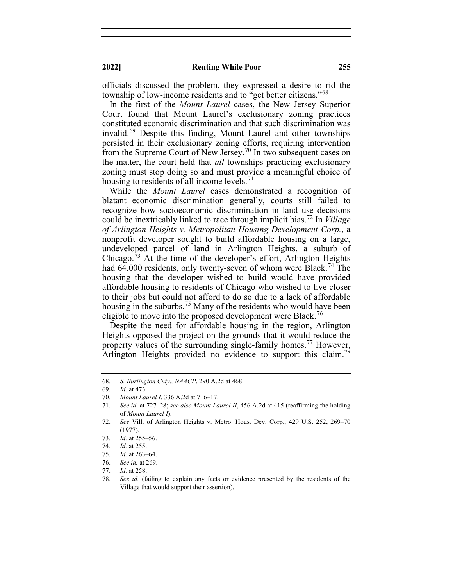officials discussed the problem, they expressed a desire to rid the township of low-income residents and to "get better citizens."[68](#page-9-0)

In the first of the *Mount Laurel* cases, the New Jersey Superior Court found that Mount Laurel's exclusionary zoning practices constituted economic discrimination and that such discrimination was invalid.[69](#page-9-1) Despite this finding, Mount Laurel and other townships persisted in their exclusionary zoning efforts, requiring intervention from the Supreme Court of New Jersey.<sup>[70](#page-9-2)</sup> In two subsequent cases on the matter, the court held that *all* townships practicing exclusionary zoning must stop doing so and must provide a meaningful choice of housing to residents of all income levels.  $\frac{1}{1}$ 

While the *Mount Laurel* cases demonstrated a recognition of blatant economic discrimination generally, courts still failed to recognize how socioeconomic discrimination in land use decisions could be inextricably linked to race through implicit bias.[72](#page-9-4) In *Village of Arlington Heights v. Metropolitan Housing Development Corp.*, a nonprofit developer sought to build affordable housing on a large, undeveloped parcel of land in Arlington Heights, a suburb of Chicago.[73](#page-9-5) At the time of the developer's effort, Arlington Heights had 64,000 residents, only twenty-seven of whom were Black.<sup>[74](#page-9-6)</sup> The housing that the developer wished to build would have provided affordable housing to residents of Chicago who wished to live closer to their jobs but could not afford to do so due to a lack of affordable housing in the suburbs.<sup>[75](#page-9-7)</sup> Many of the residents who would have been eligible to move into the proposed development were Black.<sup>[76](#page-9-8)</sup>

Despite the need for affordable housing in the region, Arlington Heights opposed the project on the grounds that it would reduce the property values of the surrounding single-family homes.<sup>[77](#page-9-9)</sup> However, Arlington Heights provided no evidence to support this claim.<sup>[78](#page-9-10)</sup>

<span id="page-9-0"></span><sup>68.</sup> *S. Burlington Cnty*.*, NAACP*, 290 A.2d at 468.

<sup>69.</sup> *Id.* at 473.

<span id="page-9-2"></span><span id="page-9-1"></span><sup>70.</sup> *Mount Laurel I*, 336 A.2d at 716–17.

<span id="page-9-3"></span><sup>71.</sup> *See id.* at 727–28; *see also Mount Laurel II*, 456 A.2d at 415 (reaffirming the holding of *Mount Laurel I*).

<span id="page-9-4"></span><sup>72.</sup> *See* Vill. of Arlington Heights v. Metro. Hous. Dev. Corp., 429 U.S. 252, 269–70 (1977).

<span id="page-9-6"></span><span id="page-9-5"></span><sup>73.</sup> *Id.* at 255–56.

<sup>74.</sup> *Id.* at 255.

<span id="page-9-7"></span><sup>75.</sup> *Id.* at 263–64.

<sup>76.</sup> *See id.* at 269.

<span id="page-9-9"></span><span id="page-9-8"></span><sup>77.</sup> *Id.* at 258.

<span id="page-9-10"></span><sup>78.</sup> *See id.* (failing to explain any facts or evidence presented by the residents of the Village that would support their assertion).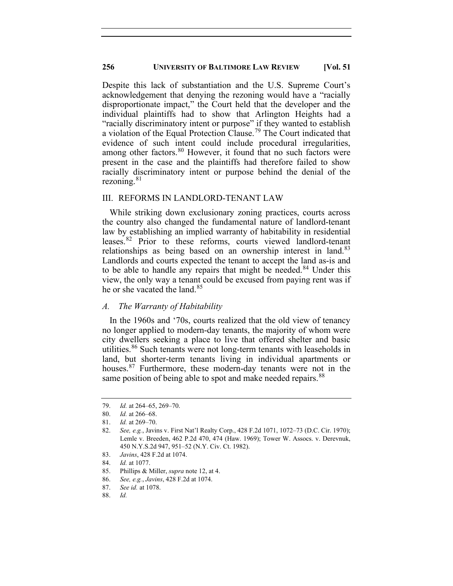Despite this lack of substantiation and the U.S. Supreme Court's acknowledgement that denying the rezoning would have a "racially disproportionate impact," the Court held that the developer and the individual plaintiffs had to show that Arlington Heights had a "racially discriminatory intent or purpose" if they wanted to establish a violation of the Equal Protection Clause.<sup>[79](#page-10-0)</sup> The Court indicated that evidence of such intent could include procedural irregularities, among other factors.<sup>[80](#page-10-1)</sup> However, it found that no such factors were present in the case and the plaintiffs had therefore failed to show racially discriminatory intent or purpose behind the denial of the rezoning. $81$ 

#### III. REFORMS IN LANDLORD-TENANT LAW

While striking down exclusionary zoning practices, courts across the country also changed the fundamental nature of landlord-tenant law by establishing an implied warranty of habitability in residential leases.<sup>[82](#page-10-3)</sup> Prior to these reforms, courts viewed landlord-tenant relationships as being based on an ownership interest in land.<sup>[83](#page-10-4)</sup> Landlords and courts expected the tenant to accept the land as-is and to be able to handle any repairs that might be needed.<sup>[84](#page-10-5)</sup> Under this view, the only way a tenant could be excused from paying rent was if he or she vacated the land.<sup>[85](#page-10-6)</sup>

#### *A. The Warranty of Habitability*

In the 1960s and '70s, courts realized that the old view of tenancy no longer applied to modern-day tenants, the majority of whom were city dwellers seeking a place to live that offered shelter and basic utilities.<sup>[86](#page-10-7)</sup> Such tenants were not long-term tenants with leaseholds in land, but shorter-term tenants living in individual apartments or houses.<sup>[87](#page-10-8)</sup> Furthermore, these modern-day tenants were not in the same position of being able to spot and make needed repairs.<sup>[88](#page-10-9)</sup>

<span id="page-10-0"></span><sup>79.</sup> *Id.* at 264–65, 269–70.

<span id="page-10-1"></span><sup>80.</sup> *Id.* at 266–68.

<sup>81.</sup> *Id.* at 269–70.

<span id="page-10-3"></span><span id="page-10-2"></span><sup>82.</sup> *See, e.g.*, Javins v. First Nat'l Realty Corp., 428 F.2d 1071, 1072–73 (D.C. Cir. 1970); Lemle v. Breeden, 462 P.2d 470, 474 (Haw. 1969); Tower W. Assocs. v. Derevnuk, 450 N.Y.S.2d 947, 951–52 (N.Y. Civ. Ct. 1982).

<span id="page-10-4"></span><sup>83.</sup> *Javins*, 428 F.2d at 1074.

<span id="page-10-5"></span><sup>84.</sup> *Id.* at 1077.

<span id="page-10-7"></span><span id="page-10-6"></span><sup>85.</sup> Phillips & Miller, *supra* note 12, at 4.

<sup>86.</sup> *See, e.g.*, *Javins*, 428 F.2d at 1074.

<span id="page-10-8"></span><sup>87.</sup> *See id.* at 1078.

<span id="page-10-9"></span><sup>88.</sup> *Id.*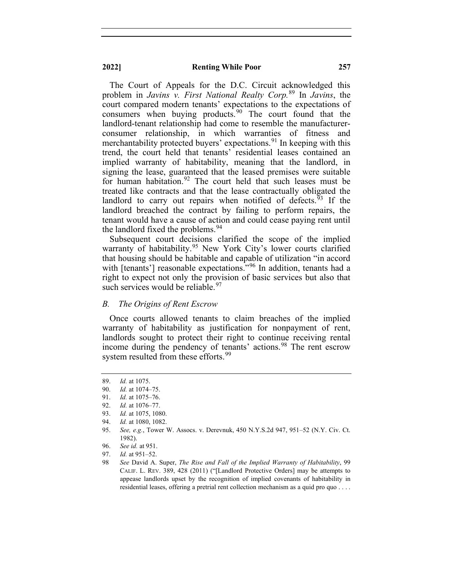The Court of Appeals for the D.C. Circuit acknowledged this problem in *Javins v. First National Realty Corp.*[89](#page-11-0) In *Javins*, the court compared modern tenants' expectations to the expectations of consumers when buying products.[90](#page-11-1) The court found that the landlord-tenant relationship had come to resemble the manufacturerconsumer relationship, in which warranties of fitness and merchantability protected buyers' expectations.<sup>[91](#page-11-2)</sup> In keeping with this trend, the court held that tenants' residential leases contained an implied warranty of habitability, meaning that the landlord, in signing the lease, guaranteed that the leased premises were suitable for human habitation.<sup>[92](#page-11-3)</sup> The court held that such leases must be treated like contracts and that the lease contractually obligated the landlord to carry out repairs when notified of defects.<sup>[93](#page-11-4)</sup> If the landlord breached the contract by failing to perform repairs, the tenant would have a cause of action and could cease paying rent until the landlord fixed the problems.<sup>[94](#page-11-5)</sup>

Subsequent court decisions clarified the scope of the implied warranty of habitability.<sup>[95](#page-11-6)</sup> New York City's lower courts clarified that housing should be habitable and capable of utilization "in accord with [tenants'] reasonable expectations."<sup>[96](#page-11-7)</sup> In addition, tenants had a right to expect not only the provision of basic services but also that such services would be reliable.<sup>[97](#page-11-8)</sup>

#### *B. The Origins of Rent Escrow*

Once courts allowed tenants to claim breaches of the implied warranty of habitability as justification for nonpayment of rent, landlords sought to protect their right to continue receiving rental income during the pendency of tenants' actions. [98](#page-11-9) The rent escrow system resulted from these efforts.<sup>[99](#page-11-10)</sup>

<span id="page-11-10"></span><sup>89.</sup> *Id.* at 1075.

<span id="page-11-2"></span><span id="page-11-1"></span><span id="page-11-0"></span><sup>90.</sup> *Id.* at 1074–75.

<sup>91.</sup> *Id.* at 1075–76.

<sup>92.</sup> *Id.* at 1076–77.

<span id="page-11-4"></span><span id="page-11-3"></span><sup>93.</sup> *Id.* at 1075, 1080.

<sup>94.</sup> *Id.* at 1080, 1082.

<span id="page-11-7"></span><span id="page-11-6"></span><span id="page-11-5"></span><sup>95.</sup> *See, e.g.*, Tower W. Assocs. v. Derevnuk, 450 N.Y.S.2d 947, 951–52 (N.Y. Civ. Ct. 1982).

<sup>96.</sup> *See id.* at 951.

<span id="page-11-9"></span><span id="page-11-8"></span><sup>97.</sup> *Id.* at 951–52.

<sup>98</sup> *See* David A. Super, *The Rise and Fall of the Implied Warranty of Habitability*, 99 CALIF. L. REV. 389, 428 (2011) ("[Landlord Protective Orders] may be attempts to appease landlords upset by the recognition of implied covenants of habitability in residential leases, offering a pretrial rent collection mechanism as a quid pro quo . . . .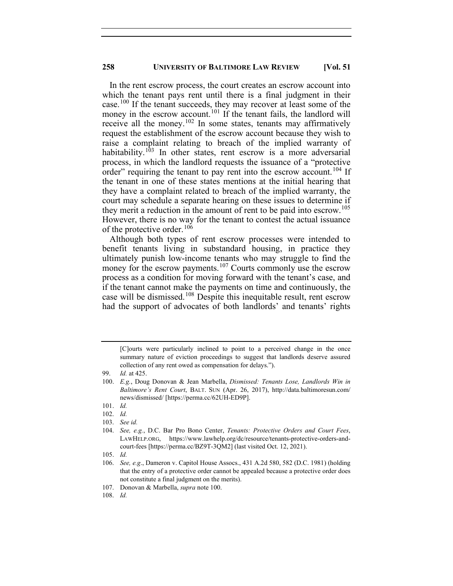In the rent escrow process, the court creates an escrow account into which the tenant pays rent until there is a final judgment in their case.[100](#page-12-0) If the tenant succeeds, they may recover at least some of the money in the escrow account.<sup>[101](#page-12-1)</sup> If the tenant fails, the landlord will receive all the money.<sup>[102](#page-12-2)</sup> In some states, tenants may affirmatively request the establishment of the escrow account because they wish to raise a complaint relating to breach of the implied warranty of habitability.<sup>[103](#page-12-3)</sup> In other states, rent escrow is a more adversarial process, in which the landlord requests the issuance of a "protective order" requiring the tenant to pay rent into the escrow account.<sup>[104](#page-12-4)</sup> If the tenant in one of these states mentions at the initial hearing that they have a complaint related to breach of the implied warranty, the court may schedule a separate hearing on these issues to determine if they merit a reduction in the amount of rent to be paid into escrow.<sup>[105](#page-12-5)</sup> However, there is no way for the tenant to contest the actual issuance of the protective order.<sup>[106](#page-12-6)</sup>

Although both types of rent escrow processes were intended to benefit tenants living in substandard housing, in practice they ultimately punish low-income tenants who may struggle to find the money for the escrow payments. $107$  Courts commonly use the escrow process as a condition for moving forward with the tenant's case, and if the tenant cannot make the payments on time and continuously, the case will be dismissed. [108](#page-12-8) Despite this inequitable result, rent escrow had the support of advocates of both landlords' and tenants' rights

<sup>[</sup>C]ourts were particularly inclined to point to a perceived change in the once summary nature of eviction proceedings to suggest that landlords deserve assured collection of any rent owed as compensation for delays.").

<span id="page-12-0"></span><sup>99.</sup> *Id.* at 425.

<sup>100.</sup> *E.g.*, Doug Donovan & Jean Marbella, *Dismissed: Tenants Lose, Landlords Win in Baltimore's Rent Court*, BALT. SUN (Apr. 26, 2017), http://data.baltimoresun.com/ news/dismissed/ [https://perma.cc/62UH-ED9P].

<span id="page-12-1"></span><sup>101.</sup> *Id.*

<span id="page-12-2"></span><sup>102.</sup> *Id.*

<sup>103.</sup> *See id.*

<span id="page-12-4"></span><span id="page-12-3"></span><sup>104.</sup> *See, e.g.*, D.C. Bar Pro Bono Center, *Tenants: Protective Orders and Court Fees*, LAWHELP.ORG, https://www.lawhelp.org/dc/resource/tenants-protective-orders-andcourt-fees [https://perma.cc/BZ9T-3QM2] (last visited Oct. 12, 2021).

<span id="page-12-6"></span><span id="page-12-5"></span><sup>105.</sup> *Id.*

<sup>106.</sup> *See, e.g*., Dameron v. Capitol House Assocs., 431 A.2d 580, 582 (D.C. 1981) (holding that the entry of a protective order cannot be appealed because a protective order does not constitute a final judgment on the merits).

<span id="page-12-8"></span><span id="page-12-7"></span><sup>107.</sup> Donovan & Marbella, *supra* note 100.

<sup>108.</sup> *Id.*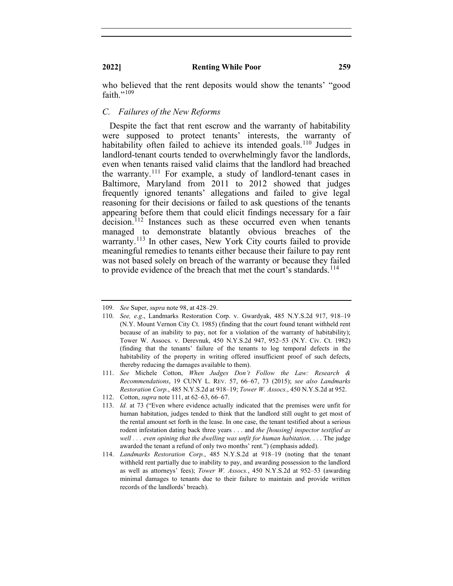who believed that the rent deposits would show the tenants' "good faith." $109$ 

#### *C. Failures of the New Reforms*

Despite the fact that rent escrow and the warranty of habitability were supposed to protect tenants' interests, the warranty of habitability often failed to achieve its intended goals.<sup>[110](#page-13-1)</sup> Judges in landlord-tenant courts tended to overwhelmingly favor the landlords, even when tenants raised valid claims that the landlord had breached the warranty.[111](#page-13-2) For example, a study of landlord-tenant cases in Baltimore, Maryland from 2011 to 2012 showed that judges frequently ignored tenants' allegations and failed to give legal reasoning for their decisions or failed to ask questions of the tenants appearing before them that could elicit findings necessary for a fair decision.<sup>[112](#page-13-3)</sup> Instances such as these occurred even when tenants managed to demonstrate blatantly obvious breaches of the warranty.<sup>[113](#page-13-4)</sup> In other cases, New York City courts failed to provide meaningful remedies to tenants either because their failure to pay rent was not based solely on breach of the warranty or because they failed to provide evidence of the breach that met the court's standards.<sup>[114](#page-13-5)</sup>

112. Cotton, *supra* note 111, at 62–63, 66–67.

<span id="page-13-1"></span><span id="page-13-0"></span><sup>109.</sup> *See* Super, *supra* note 98, at 428–29.

<sup>110.</sup> *See, e.g*., Landmarks Restoration Corp. v. Gwardyak, 485 N.Y.S.2d 917, 918–19 (N.Y. Mount Vernon City Ct. 1985) (finding that the court found tenant withheld rent because of an inability to pay, not for a violation of the warranty of habitability); Tower W. Assocs. v. Derevnuk, 450 N.Y.S.2d 947, 952–53 (N.Y. Civ. Ct. 1982) (finding that the tenants' failure of the tenants to log temporal defects in the habitability of the property in writing offered insufficient proof of such defects, thereby reducing the damages available to them).

<span id="page-13-2"></span><sup>111.</sup> *See* Michele Cotton, *When Judges Don't Follow the Law: Research & Recommendations*, 19 CUNY L. REV. 57, 66–67, 73 (2015); *see also Landmarks Restoration Corp.*, 485 N.Y.S.2d at 918–19; *Tower W. Assocs.*, 450 N.Y.S.2d at 952.

<span id="page-13-4"></span><span id="page-13-3"></span><sup>113.</sup> *Id.* at 73 ("Even where evidence actually indicated that the premises were unfit for human habitation, judges tended to think that the landlord still ought to get most of the rental amount set forth in the lease. In one case, the tenant testified about a serious rodent infestation dating back three years . . . and *the [housing] inspector testified as well . . . even opining that the dwelling was unfit for human habitation*. . . . The judge awarded the tenant a refund of only two months' rent.") (emphasis added).

<span id="page-13-5"></span><sup>114.</sup> *Landmarks Restoration Corp.*, 485 N.Y.S.2d at 918–19 (noting that the tenant withheld rent partially due to inability to pay, and awarding possession to the landlord as well as attorneys' fees); *Tower W. Assocs.*, 450 N.Y.S.2d at 952–53 (awarding minimal damages to tenants due to their failure to maintain and provide written records of the landlords' breach).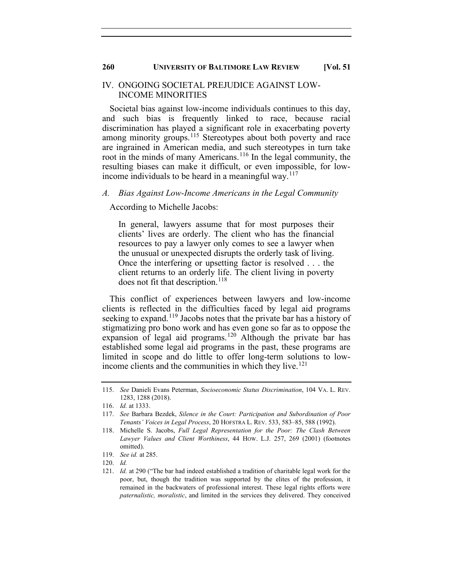#### IV. ONGOING SOCIETAL PREJUDICE AGAINST LOW-INCOME MINORITIES

Societal bias against low-income individuals continues to this day, and such bias is frequently linked to race, because racial discrimination has played a significant role in exacerbating poverty among minority groups.<sup>[115](#page-14-0)</sup> Stereotypes about both poverty and race are ingrained in American media, and such stereotypes in turn take root in the minds of many Americans.<sup>[116](#page-14-1)</sup> In the legal community, the resulting biases can make it difficult, or even impossible, for low-income individuals to be heard in a meaningful way.<sup>[117](#page-14-2)</sup>

#### *A. Bias Against Low-Income Americans in the Legal Community*

According to Michelle Jacobs:

In general, lawyers assume that for most purposes their clients' lives are orderly. The client who has the financial resources to pay a lawyer only comes to see a lawyer when the unusual or unexpected disrupts the orderly task of living. Once the interfering or upsetting factor is resolved . . . the client returns to an orderly life. The client living in poverty does not fit that description.<sup>[118](#page-14-3)</sup>

This conflict of experiences between lawyers and low-income clients is reflected in the difficulties faced by legal aid programs seeking to expand.<sup>[119](#page-14-4)</sup> Jacobs notes that the private bar has a history of stigmatizing pro bono work and has even gone so far as to oppose the expansion of legal aid programs.<sup>[120](#page-14-5)</sup> Although the private bar has established some legal aid programs in the past, these programs are limited in scope and do little to offer long-term solutions to low-income clients and the communities in which they live.<sup>[121](#page-14-6)</sup>

<span id="page-14-0"></span><sup>115.</sup> *See* Danieli Evans Peterman, *Socioeconomic Status Discrimination*, 104 VA. L. REV. 1283, 1288 (2018).

<sup>116.</sup> *Id.* at 1333.

<span id="page-14-2"></span><span id="page-14-1"></span><sup>117.</sup> *See* Barbara Bezdek, *Silence in the Court: Participation and Subordination of Poor Tenants' Voices in Legal Process*, 20 HOFSTRA L. REV. 533, 583–85, 588 (1992).

<span id="page-14-3"></span><sup>118.</sup> Michelle S. Jacobs, *Full Legal Representation for the Poor: The Clash Between Lawyer Values and Client Worthiness*, 44 HOW. L.J. 257, 269 (2001) (footnotes omitted).

<span id="page-14-4"></span><sup>119.</sup> *See id.* at 285.

<span id="page-14-6"></span><span id="page-14-5"></span><sup>120.</sup> *Id.*

<sup>121.</sup> *Id.* at 290 ("The bar had indeed established a tradition of charitable legal work for the poor, but, though the tradition was supported by the elites of the profession, it remained in the backwaters of professional interest. These legal rights efforts were *paternalistic, moralistic*, and limited in the services they delivered. They conceived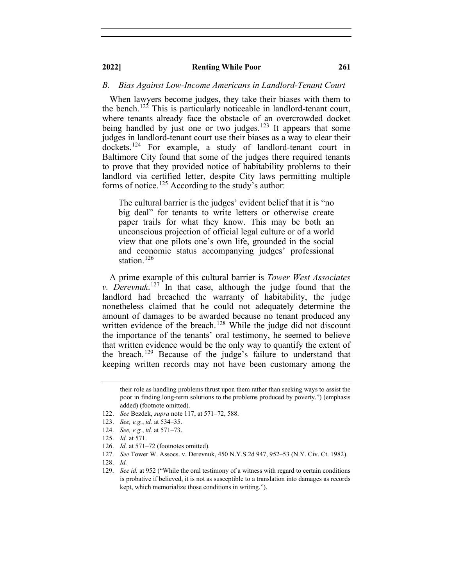#### *B. Bias Against Low-Income Americans in Landlord-Tenant Court*

When lawyers become judges, they take their biases with them to the bench.<sup>[122](#page-15-0)</sup> This is particularly noticeable in landlord-tenant court, where tenants already face the obstacle of an overcrowded docket being handled by just one or two judges.<sup>[123](#page-15-1)</sup> It appears that some judges in landlord-tenant court use their biases as a way to clear their dockets.<sup>[124](#page-15-2)</sup> For example, a study of landlord-tenant court in Baltimore City found that some of the judges there required tenants to prove that they provided notice of habitability problems to their landlord via certified letter, despite City laws permitting multiple forms of notice.<sup>[125](#page-15-3)</sup> According to the study's author:

The cultural barrier is the judges' evident belief that it is "no big deal" for tenants to write letters or otherwise create paper trails for what they know. This may be both an unconscious projection of official legal culture or of a world view that one pilots one's own life, grounded in the social and economic status accompanying judges' professional station.<sup>[126](#page-15-4)</sup>

A prime example of this cultural barrier is *Tower West Associates v. Derevnuk*. [127](#page-15-5) In that case, although the judge found that the landlord had breached the warranty of habitability, the judge nonetheless claimed that he could not adequately determine the amount of damages to be awarded because no tenant produced any written evidence of the breach.<sup>[128](#page-15-6)</sup> While the judge did not discount the importance of the tenants' oral testimony, he seemed to believe that written evidence would be the only way to quantify the extent of the breach. [129](#page-15-7) Because of the judge's failure to understand that keeping written records may not have been customary among the

<span id="page-15-2"></span>124. *See, e.g.*, *id.* at 571–73.

their role as handling problems thrust upon them rather than seeking ways to assist the poor in finding long-term solutions to the problems produced by poverty.") (emphasis added) (footnote omitted).

<sup>122.</sup> *See* Bezdek, *supra* note 117, at 571–72, 588.

<span id="page-15-1"></span><span id="page-15-0"></span><sup>123.</sup> *See, e.g.*, *id.* at 534–35.

<span id="page-15-3"></span><sup>125.</sup> *Id.* at 571.

<span id="page-15-4"></span><sup>126.</sup> *Id.* at 571–72 (footnotes omitted).

<span id="page-15-5"></span><sup>127.</sup> *See* Tower W. Assocs. v. Derevnuk, 450 N.Y.S.2d 947, 952–53 (N.Y. Civ. Ct. 1982).

<span id="page-15-7"></span><span id="page-15-6"></span><sup>128.</sup> *Id.*

<sup>129.</sup> *See id.* at 952 ("While the oral testimony of a witness with regard to certain conditions is probative if believed, it is not as susceptible to a translation into damages as records kept, which memorialize those conditions in writing.").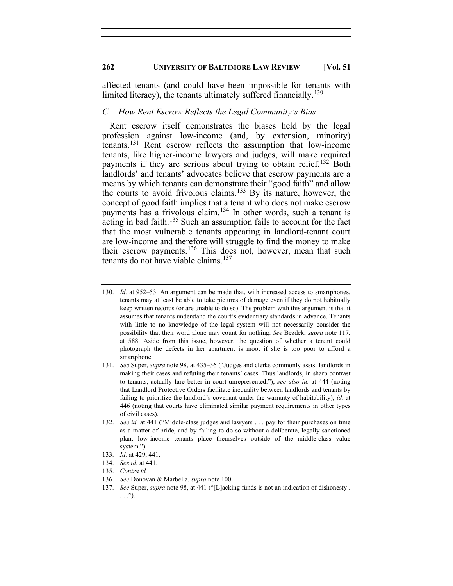affected tenants (and could have been impossible for tenants with limited literacy), the tenants ultimately suffered financially.<sup>[130](#page-16-0)</sup>

#### *C. How Rent Escrow Reflects the Legal Community's Bias*

Rent escrow itself demonstrates the biases held by the legal profession against low-income (and, by extension, minority) tenants.[131](#page-16-1) Rent escrow reflects the assumption that low-income tenants, like higher-income lawyers and judges, will make required payments if they are serious about trying to obtain relief.<sup>[132](#page-16-2)</sup> Both landlords' and tenants' advocates believe that escrow payments are a means by which tenants can demonstrate their "good faith" and allow the courts to avoid frivolous claims.<sup>[133](#page-16-3)</sup> By its nature, however, the concept of good faith implies that a tenant who does not make escrow payments has a frivolous claim.[134](#page-16-4) In other words, such a tenant is  $\alpha$  acting in bad faith.<sup>[135](#page-16-5)</sup> Such an assumption fails to account for the fact that the most vulnerable tenants appearing in landlord-tenant court are low-income and therefore will struggle to find the money to make their escrow payments. [136](#page-16-6) This does not, however, mean that such tenants do not have viable claims.<sup>[137](#page-16-7)</sup>

- <span id="page-16-3"></span>133. *Id.* at 429, 441.
- <span id="page-16-4"></span>134. *See id.* at 441.
- <span id="page-16-5"></span>135. *Contra id.*
- 136. *See* Donovan & Marbella, *supra* note 100.
- <span id="page-16-7"></span><span id="page-16-6"></span>137. *See* Super, *supra* note 98, at 441 ("[L]acking funds is not an indication of dishonesty . . . .").

<span id="page-16-0"></span><sup>130.</sup> *Id.* at 952–53. An argument can be made that, with increased access to smartphones, tenants may at least be able to take pictures of damage even if they do not habitually keep written records (or are unable to do so). The problem with this argument is that it assumes that tenants understand the court's evidentiary standards in advance. Tenants with little to no knowledge of the legal system will not necessarily consider the possibility that their word alone may count for nothing. *See* Bezdek, *supra* note 117, at 588. Aside from this issue, however, the question of whether a tenant could photograph the defects in her apartment is moot if she is too poor to afford a smartphone.

<span id="page-16-1"></span><sup>131.</sup> *See* Super, *supra* note 98, at 435–36 ("Judges and clerks commonly assist landlords in making their cases and refuting their tenants' cases. Thus landlords, in sharp contrast to tenants, actually fare better in court unrepresented."); *see also id.* at 444 (noting that Landlord Protective Orders facilitate inequality between landlords and tenants by failing to prioritize the landlord's covenant under the warranty of habitability); *id.* at 446 (noting that courts have eliminated similar payment requirements in other types of civil cases).

<span id="page-16-2"></span><sup>132.</sup> *See id.* at 441 ("Middle-class judges and lawyers . . . pay for their purchases on time as a matter of pride, and by failing to do so without a deliberate, legally sanctioned plan, low-income tenants place themselves outside of the middle-class value system.").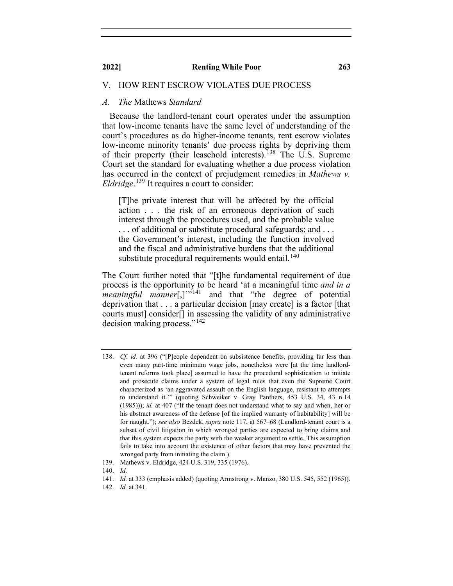#### V. HOW RENT ESCROW VIOLATES DUE PROCESS

#### *A. The* Mathews *Standard*

Because the landlord-tenant court operates under the assumption that low-income tenants have the same level of understanding of the court's procedures as do higher-income tenants, rent escrow violates low-income minority tenants' due process rights by depriving them of their property (their leasehold interests). [138](#page-17-0) The U.S. Supreme Court set the standard for evaluating whether a due process violation has occurred in the context of prejudgment remedies in *Mathews v. Eldridge*. [139](#page-17-1) It requires a court to consider:

[T]he private interest that will be affected by the official action . . . the risk of an erroneous deprivation of such interest through the procedures used, and the probable value . . . of additional or substitute procedural safeguards; and . . . the Government's interest, including the function involved and the fiscal and administrative burdens that the additional substitute procedural requirements would entail.<sup>[140](#page-17-2)</sup>

The Court further noted that "[t]he fundamental requirement of due process is the opportunity to be heard 'at a meaningful time *and in a meaningful manner*[,]"<sup>[141](#page-17-3)</sup> and that "the degree of potential deprivation that . . . a particular decision [may create] is a factor [that courts must] consider[] in assessing the validity of any administrative decision making process."[142](#page-17-4)

<span id="page-17-3"></span><span id="page-17-2"></span><span id="page-17-1"></span>140. *Id.*

<span id="page-17-0"></span><sup>138.</sup> *Cf. id.* at 396 ("[P]eople dependent on subsistence benefits, providing far less than even many part-time minimum wage jobs, nonetheless were [at the time landlordtenant reforms took place] assumed to have the procedural sophistication to initiate and prosecute claims under a system of legal rules that even the Supreme Court characterized as 'an aggravated assault on the English language, resistant to attempts to understand it.'" (quoting Schweiker v. Gray Panthers, 453 U.S. 34, 43 n.14 (1985))); *id.* at 407 ("If the tenant does not understand what to say and when, her or his abstract awareness of the defense [of the implied warranty of habitability] will be for naught."); *see also* Bezdek, *supra* note 117, at 567–68 (Landlord-tenant court is a subset of civil litigation in which wronged parties are expected to bring claims and that this system expects the party with the weaker argument to settle. This assumption fails to take into account the existence of other factors that may have prevented the wronged party from initiating the claim.).

<sup>139.</sup> Mathews v. Eldridge, 424 U.S. 319, 335 (1976).

<span id="page-17-4"></span><sup>141.</sup> *Id.* at 333 (emphasis added) (quoting Armstrong v. Manzo, 380 U.S. 545, 552 (1965)).

<sup>142.</sup> *Id.* at 341.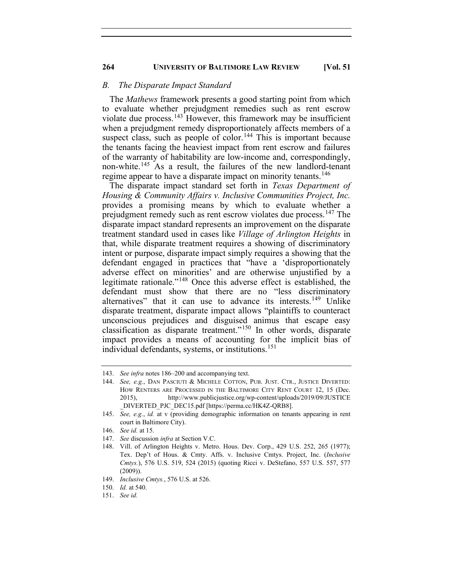#### *B. The Disparate Impact Standard*

The *Mathews* framework presents a good starting point from which to evaluate whether prejudgment remedies such as rent escrow violate due process.<sup>[143](#page-18-0)</sup> However, this framework may be insufficient when a prejudgment remedy disproportionately affects members of a suspect class, such as people of color.<sup>[144](#page-18-1)</sup> This is important because the tenants facing the heaviest impact from rent escrow and failures of the warranty of habitability are low-income and, correspondingly, non-white. [145](#page-18-2) As a result, the failures of the new landlord-tenant regime appear to have a disparate impact on minority tenants.<sup>[146](#page-18-3)</sup>

The disparate impact standard set forth in *Texas Department of Housing & Community Affairs v. Inclusive Communities Project, Inc.* provides a promising means by which to evaluate whether a prejudgment remedy such as rent escrow violates due process.<sup>[147](#page-18-4)</sup> The disparate impact standard represents an improvement on the disparate treatment standard used in cases like *Village of Arlington Heights* in that, while disparate treatment requires a showing of discriminatory intent or purpose, disparate impact simply requires a showing that the defendant engaged in practices that "have a 'disproportionately adverse effect on minorities' and are otherwise unjustified by a legitimate rationale."[148](#page-18-5) Once this adverse effect is established, the defendant must show that there are no "less discriminatory alternatives" that it can use to advance its interests.<sup>[149](#page-18-6)</sup> Unlike disparate treatment, disparate impact allows "plaintiffs to counteract unconscious prejudices and disguised animus that escape easy classification as disparate treatment."[150](#page-18-7) In other words, disparate impact provides a means of accounting for the implicit bias of individual defendants, systems, or institutions. [151](#page-18-8)

<span id="page-18-7"></span><span id="page-18-6"></span>149. *Inclusive Cmtys.*, 576 U.S. at 526.

<span id="page-18-1"></span><span id="page-18-0"></span><sup>143.</sup> *See infra* notes 186–200 and accompanying text.

<sup>144.</sup> *See, e.g.*, DAN PASCIUTI & MICHELE COTTON, PUB. JUST. CTR., JUSTICE DIVERTED: HOW RENTERS ARE PROCESSED IN THE BALTIMORE CITY RENT COURT 12, 15 (Dec. 2015), http://www.publicjustice.org/wp-content/uploads/2019/09/JUSTICE \_DIVERTED\_PJC\_DEC15.pdf [https://perma.cc/HK4Z-QRB8].

<span id="page-18-2"></span><sup>145.</sup> *See, e.g.*, *id.* at v (providing demographic information on tenants appearing in rent court in Baltimore City).

<sup>146.</sup> *See id.* at 15.

<span id="page-18-5"></span><span id="page-18-4"></span><span id="page-18-3"></span><sup>147.</sup> *See* discussion *infra* at Section V.C.

<sup>148.</sup> Vill. of Arlington Heights v. Metro. Hous. Dev. Corp., 429 U.S. 252, 265 (1977); Tex. Dep't of Hous. & Cmty. Affs. v. Inclusive Cmtys. Project, Inc. (*Inclusive Cmtys.*), 576 U.S. 519, 524 (2015) (quoting Ricci v. DeStefano, 557 U.S. 557, 577 (2009)).

<sup>150.</sup> *Id.* at 540.

<span id="page-18-8"></span><sup>151.</sup> *See id.*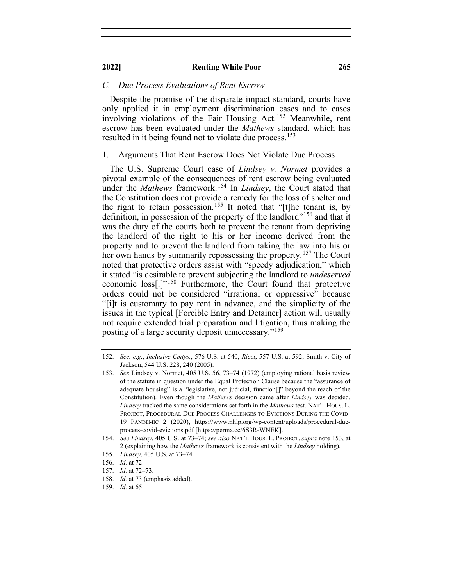#### *C. Due Process Evaluations of Rent Escrow*

Despite the promise of the disparate impact standard, courts have only applied it in employment discrimination cases and to cases involving violations of the Fair Housing Act.<sup>[152](#page-19-0)</sup> Meanwhile, rent escrow has been evaluated under the *Mathews* standard, which has resulted in it being found not to violate due process.<sup>[153](#page-19-1)</sup>

#### 1. Arguments That Rent Escrow Does Not Violate Due Process

The U.S. Supreme Court case of *Lindsey v. Normet* provides a pivotal example of the consequences of rent escrow being evaluated under the *Mathews* framework.<sup>[154](#page-19-2)</sup> In *Lindsey*, the Court stated that the Constitution does not provide a remedy for the loss of shelter and the right to retain possession.<sup>[155](#page-19-3)</sup> It noted that "[t]he tenant is, by definition, in possession of the property of the landlord"<sup>[156](#page-19-4)</sup> and that it was the duty of the courts both to prevent the tenant from depriving the landlord of the right to his or her income derived from the property and to prevent the landlord from taking the law into his or her own hands by summarily repossessing the property.<sup>[157](#page-19-5)</sup> The Court noted that protective orders assist with "speedy adjudication," which it stated "is desirable to prevent subjecting the landlord to *undeserved* economic loss[.]"[158](#page-19-6) Furthermore, the Court found that protective orders could not be considered "irrational or oppressive" because "[i]t is customary to pay rent in advance, and the simplicity of the issues in the typical [Forcible Entry and Detainer] action will usually not require extended trial preparation and litigation, thus making the posting of a large security deposit unnecessary."[159](#page-19-7)

<span id="page-19-0"></span><sup>152.</sup> *See, e.g.*, *Inclusive Cmtys.*, 576 U.S. at 540; *Ricci*, 557 U.S. at 592; Smith v. City of Jackson, 544 U.S. 228, 240 (2005).

<span id="page-19-1"></span><sup>153.</sup> *See* Lindsey v. Normet, 405 U.S. 56, 73–74 (1972) (employing rational basis review of the statute in question under the Equal Protection Clause because the "assurance of adequate housing" is a "legislative, not judicial, function[]" beyond the reach of the Constitution). Even though the *Mathews* decision came after *Lindsey* was decided, *Lindsey* tracked the same considerations set forth in the *Mathews* test. NAT'L HOUS. L. PROJECT, PROCEDURAL DUE PROCESS CHALLENGES TO EVICTIONS DURING THE COVID-19 PANDEMIC 2 (2020), https://www.nhlp.org/wp-content/uploads/procedural-dueprocess-covid-evictions.pdf [https://perma.cc/6S3R-WNEK].

<span id="page-19-2"></span><sup>154.</sup> *See Lindsey*, 405 U.S. at 73–74; *see also* NAT'L HOUS. L. PROJECT, *supra* note 153, at 2 (explaining how the *Mathews* framework is consistent with the *Lindsey* holding).

<sup>155.</sup> *Lindsey*, 405 U.S. at 73–74.

<span id="page-19-3"></span><sup>156.</sup> *Id.* at 72.

<span id="page-19-6"></span><span id="page-19-5"></span><span id="page-19-4"></span><sup>157.</sup> *Id.* at 72–73.

<sup>158.</sup> *Id.* at 73 (emphasis added).

<span id="page-19-7"></span><sup>159.</sup> *Id.* at 65.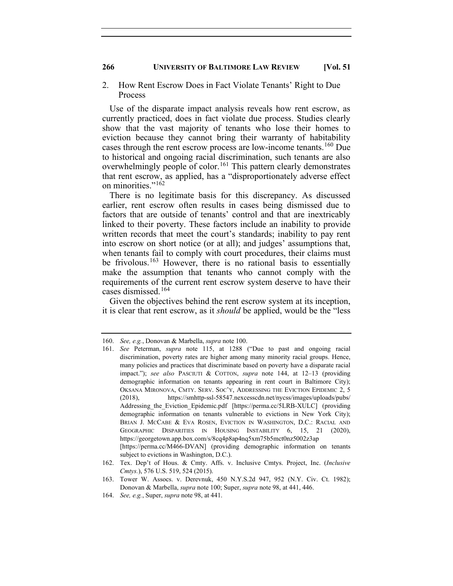#### 2. How Rent Escrow Does in Fact Violate Tenants' Right to Due Process

Use of the disparate impact analysis reveals how rent escrow, as currently practiced, does in fact violate due process. Studies clearly show that the vast majority of tenants who lose their homes to eviction because they cannot bring their warranty of habitability cases through the rent escrow process are low-income tenants.<sup>[160](#page-20-0)</sup> Due to historical and ongoing racial discrimination, such tenants are also overwhelmingly people of color.<sup>[161](#page-20-1)</sup> This pattern clearly demonstrates that rent escrow, as applied, has a "disproportionately adverse effect on minorities."<sup>[162](#page-20-2)</sup>

There is no legitimate basis for this discrepancy. As discussed earlier, rent escrow often results in cases being dismissed due to factors that are outside of tenants' control and that are inextricably linked to their poverty. These factors include an inability to provide written records that meet the court's standards; inability to pay rent into escrow on short notice (or at all); and judges' assumptions that, when tenants fail to comply with court procedures, their claims must be frivolous.<sup>[163](#page-20-3)</sup> However, there is no rational basis to essentially make the assumption that tenants who cannot comply with the requirements of the current rent escrow system deserve to have their cases dismissed. [164](#page-20-4)

Given the objectives behind the rent escrow system at its inception, it is clear that rent escrow, as it *should* be applied, would be the "less

<span id="page-20-1"></span><span id="page-20-0"></span><sup>160.</sup> *See, e.g.*, Donovan & Marbella, *supra* note 100.

<sup>161.</sup> *See* Peterman, *supra* note 115, at 1288 ("Due to past and ongoing racial discrimination, poverty rates are higher among many minority racial groups. Hence, many policies and practices that discriminate based on poverty have a disparate racial impact."); *see also* PASCIUTI & COTTON, *supra* note 144, at 12–13 (providing demographic information on tenants appearing in rent court in Baltimore City); OKSANA MIRONOVA, CMTY. SERV. SOC'Y, ADDRESSING THE EVICTION EPIDEMIC 2, 5 (2018), https://smhttp-ssl-58547.nexcesscdn.net/nycss/images/uploads/pubs/ Addressing the Eviction Epidemic.pdf [https://perma.cc/5LRB-XULC] (providing demographic information on tenants vulnerable to evictions in New York City); BRIAN J. MCCABE & EVA ROSEN, EVICTION IN WASHINGTON, D.C.: RACIAL AND GEOGRAPHIC DISPARITIES IN HOUSING INSTABILITY 6, 15, 21 (2020), https://georgetown.app.box.com/s/8cq4p8ap4nq5xm75b5mct0nz5002z3ap [https://perma.cc/M466-DVAN] (providing demographic information on tenants subject to evictions in Washington, D.C.).

<span id="page-20-2"></span><sup>162.</sup> Tex. Dep't of Hous. & Cmty. Affs. v. Inclusive Cmtys. Project, Inc. (*Inclusive Cmtys.*), 576 U.S. 519, 524 (2015).

<span id="page-20-3"></span><sup>163.</sup> Tower W. Assocs. v. Derevnuk, 450 N.Y.S.2d 947, 952 (N.Y. Civ. Ct. 1982); Donovan & Marbella, *supra* note 100; Super, *supra* note 98, at 441, 446.

<span id="page-20-4"></span><sup>164.</sup> *See, e.g.*, Super, *supra* note 98, at 441.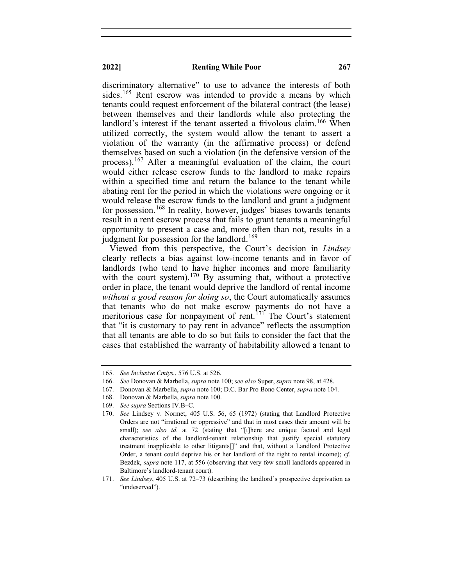discriminatory alternative" to use to advance the interests of both sides.<sup>[165](#page-21-0)</sup> Rent escrow was intended to provide a means by which tenants could request enforcement of the bilateral contract (the lease) between themselves and their landlords while also protecting the landlord's interest if the tenant asserted a frivolous claim.<sup>[166](#page-21-1)</sup> When utilized correctly, the system would allow the tenant to assert a violation of the warranty (in the affirmative process) or defend themselves based on such a violation (in the defensive version of the process).<sup>[167](#page-21-2)</sup> After a meaningful evaluation of the claim, the court would either release escrow funds to the landlord to make repairs within a specified time and return the balance to the tenant while abating rent for the period in which the violations were ongoing or it would release the escrow funds to the landlord and grant a judgment for possession.<sup>[168](#page-21-3)</sup> In reality, however, judges' biases towards tenants result in a rent escrow process that fails to grant tenants a meaningful opportunity to present a case and, more often than not, results in a judgment for possession for the landlord.<sup>[169](#page-21-4)</sup>

Viewed from this perspective, the Court's decision in *Lindsey* clearly reflects a bias against low-income tenants and in favor of landlords (who tend to have higher incomes and more familiarity with the court system).<sup>[170](#page-21-5)</sup> By assuming that, without a protective order in place, the tenant would deprive the landlord of rental income *without a good reason for doing so*, the Court automatically assumes that tenants who do not make escrow payments do not have a meritorious case for nonpayment of rent.<sup> $171'$  $171'$ </sup> The Court's statement that "it is customary to pay rent in advance" reflects the assumption that all tenants are able to do so but fails to consider the fact that the cases that established the warranty of habitability allowed a tenant to

<span id="page-21-1"></span><span id="page-21-0"></span><sup>165.</sup> *See Inclusive Cmtys.*, 576 U.S. at 526.

<sup>166.</sup> *See* Donovan & Marbella, *supra* note 100; *see also* Super, *supra* note 98, at 428.

<span id="page-21-2"></span><sup>167.</sup> Donovan & Marbella, *supra* note 100; D.C. Bar Pro Bono Center, *supra* note 104.

<sup>168.</sup> Donovan & Marbella, *supra* note 100.

<span id="page-21-3"></span><sup>169.</sup> *See supra* Sections IV.B–C.

<span id="page-21-5"></span><span id="page-21-4"></span><sup>170.</sup> *See* Lindsey v. Normet, 405 U.S. 56, 65 (1972) (stating that Landlord Protective Orders are not "irrational or oppressive" and that in most cases their amount will be small); *see also id.* at 72 (stating that "[t]here are unique factual and legal characteristics of the landlord-tenant relationship that justify special statutory treatment inapplicable to other litigants[]" and that, without a Landlord Protective Order, a tenant could deprive his or her landlord of the right to rental income); *cf.* Bezdek, *supra* note 117, at 556 (observing that very few small landlords appeared in Baltimore's landlord-tenant court).

<span id="page-21-6"></span><sup>171.</sup> *See Lindsey*, 405 U.S. at 72–73 (describing the landlord's prospective deprivation as "undeserved").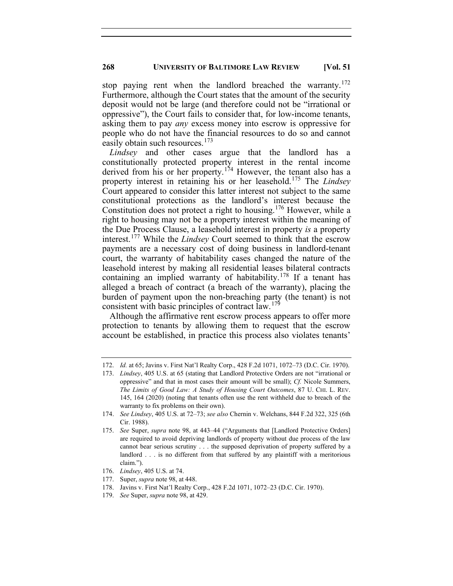stop paying rent when the landlord breached the warranty.<sup>[172](#page-22-0)</sup> Furthermore, although the Court states that the amount of the security deposit would not be large (and therefore could not be "irrational or oppressive"), the Court fails to consider that, for low-income tenants, asking them to pay *any* excess money into escrow is oppressive for people who do not have the financial resources to do so and cannot easily obtain such resources.<sup>[173](#page-22-1)</sup>

*Lindsey* and other cases argue that the landlord has a constitutionally protected property interest in the rental income derived from his or her property.<sup>[174](#page-22-2)</sup> However, the tenant also has a property interest in retaining his or her leasehold.[175](#page-22-3) The *Lindsey* Court appeared to consider this latter interest not subject to the same constitutional protections as the landlord's interest because the Constitution does not protect a right to housing.<sup>[176](#page-22-4)</sup> However, while a right to housing may not be a property interest within the meaning of the Due Process Clause, a leasehold interest in property *is* a property interest.[177](#page-22-5) While the *Lindsey* Court seemed to think that the escrow payments are a necessary cost of doing business in landlord-tenant court, the warranty of habitability cases changed the nature of the leasehold interest by making all residential leases bilateral contracts containing an implied warranty of habitability.<sup>[178](#page-22-6)</sup> If a tenant has alleged a breach of contract (a breach of the warranty), placing the burden of payment upon the non-breaching party (the tenant) is not consistent with basic principles of contract law.<sup>[179](#page-22-7)</sup>

Although the affirmative rent escrow process appears to offer more protection to tenants by allowing them to request that the escrow account be established, in practice this process also violates tenants'

- <span id="page-22-5"></span><span id="page-22-4"></span>176. *Lindsey*, 405 U.S. at 74.
- 177. Super, *supra* note 98, at 448.
- 178. Javins v. First Nat'l Realty Corp., 428 F.2d 1071, 1072–23 (D.C. Cir. 1970).
- <span id="page-22-7"></span><span id="page-22-6"></span>179. *See* Super, *supra* note 98, at 429.

<span id="page-22-1"></span><span id="page-22-0"></span><sup>172.</sup> *Id.* at 65; Javins v. First Nat'l Realty Corp., 428 F.2d 1071, 1072–73 (D.C. Cir. 1970).

<sup>173.</sup> *Lindsey*, 405 U.S. at 65 (stating that Landlord Protective Orders are not "irrational or oppressive" and that in most cases their amount will be small); *Cf.* Nicole Summers, *The Limits of Good Law: A Study of Housing Court Outcomes*, 87 U. CHI. L. REV. 145, 164 (2020) (noting that tenants often use the rent withheld due to breach of the warranty to fix problems on their own).

<span id="page-22-2"></span><sup>174.</sup> *See Lindsey*, 405 U.S. at 72–73; *see also* Chernin v. Welchans, 844 F.2d 322, 325 (6th Cir. 1988).

<span id="page-22-3"></span><sup>175.</sup> *See* Super, *supra* note 98, at 443–44 ("Arguments that [Landlord Protective Orders] are required to avoid depriving landlords of property without due process of the law cannot bear serious scrutiny . . . the supposed deprivation of property suffered by a landlord . . . is no different from that suffered by any plaintiff with a meritorious claim.").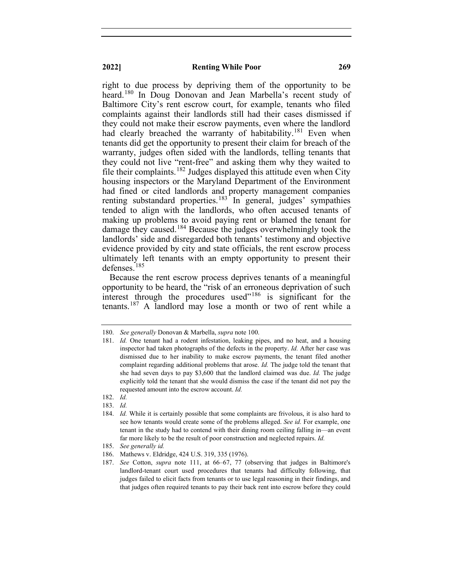right to due process by depriving them of the opportunity to be heard.<sup>[180](#page-23-0)</sup> In Doug Donovan and Jean Marbella's recent study of Baltimore City's rent escrow court, for example, tenants who filed complaints against their landlords still had their cases dismissed if they could not make their escrow payments, even where the landlord had clearly breached the warranty of habitability.<sup>[181](#page-23-1)</sup> Even when tenants did get the opportunity to present their claim for breach of the warranty, judges often sided with the landlords, telling tenants that they could not live "rent-free" and asking them why they waited to file their complaints.<sup>[182](#page-23-2)</sup> Judges displayed this attitude even when City housing inspectors or the Maryland Department of the Environment had fined or cited landlords and property management companies renting substandard properties.<sup>[183](#page-23-3)</sup> In general, judges' sympathies tended to align with the landlords, who often accused tenants of making up problems to avoid paying rent or blamed the tenant for damage they caused. [184](#page-23-4) Because the judges overwhelmingly took the landlords' side and disregarded both tenants' testimony and objective evidence provided by city and state officials, the rent escrow process ultimately left tenants with an empty opportunity to present their defenses.[185](#page-23-5)

Because the rent escrow process deprives tenants of a meaningful opportunity to be heard, the "risk of an erroneous deprivation of such interest through the procedures used"<sup>[186](#page-23-6)</sup> is significant for the tenants.[187](#page-23-7) A landlord may lose a month or two of rent while a

<span id="page-23-1"></span><span id="page-23-0"></span><sup>180.</sup> *See generally* Donovan & Marbella, *supra* note 100.

<sup>181.</sup> *Id.* One tenant had a rodent infestation, leaking pipes, and no heat, and a housing inspector had taken photographs of the defects in the property. *Id.* After her case was dismissed due to her inability to make escrow payments, the tenant filed another complaint regarding additional problems that arose. *Id.* The judge told the tenant that she had seven days to pay \$3,600 that the landlord claimed was due. *Id.* The judge explicitly told the tenant that she would dismiss the case if the tenant did not pay the requested amount into the escrow account. *Id.*

<span id="page-23-2"></span><sup>182.</sup> *Id.*

<sup>183.</sup> *Id.*

<span id="page-23-4"></span><span id="page-23-3"></span><sup>184.</sup> *Id.* While it is certainly possible that some complaints are frivolous, it is also hard to see how tenants would create some of the problems alleged. *See id.* For example, one tenant in the study had to contend with their dining room ceiling falling in—an event far more likely to be the result of poor construction and neglected repairs. *Id.*

<sup>185.</sup> *See generally id.*

<span id="page-23-6"></span><span id="page-23-5"></span><sup>186.</sup> Mathews v. Eldridge, 424 U.S. 319, 335 (1976).

<span id="page-23-7"></span><sup>187.</sup> *See* Cotton, *supra* note 111, at 66–67, 77 (observing that judges in Baltimore's landlord-tenant court used procedures that tenants had difficulty following, that judges failed to elicit facts from tenants or to use legal reasoning in their findings, and that judges often required tenants to pay their back rent into escrow before they could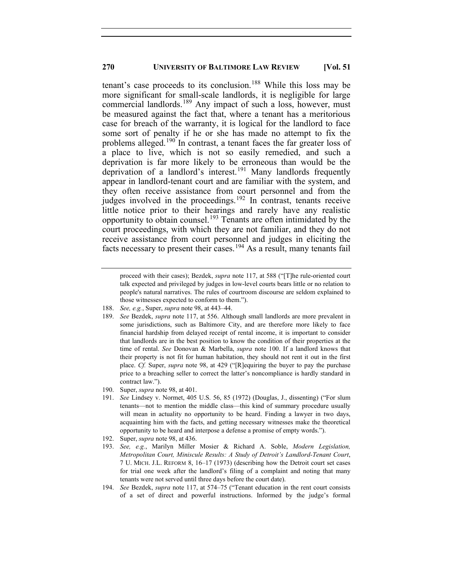tenant's case proceeds to its conclusion.<sup>[188](#page-24-0)</sup> While this loss may be more significant for small-scale landlords, it is negligible for large commercial landlords.<sup>[189](#page-24-1)</sup> Any impact of such a loss, however, must be measured against the fact that, where a tenant has a meritorious case for breach of the warranty, it is logical for the landlord to face some sort of penalty if he or she has made no attempt to fix the problems alleged.<sup>[190](#page-24-2)</sup> In contrast, a tenant faces the far greater loss of a place to live, which is not so easily remedied, and such a deprivation is far more likely to be erroneous than would be the deprivation of a landlord's interest.<sup>[191](#page-24-3)</sup> Many landlords frequently appear in landlord-tenant court and are familiar with the system, and they often receive assistance from court personnel and from the judges involved in the proceedings.<sup>[192](#page-24-4)</sup> In contrast, tenants receive little notice prior to their hearings and rarely have any realistic opportunity to obtain counsel.<sup>[193](#page-24-5)</sup> Tenants are often intimidated by the court proceedings, with which they are not familiar, and they do not receive assistance from court personnel and judges in eliciting the facts necessary to present their cases.<sup>[194](#page-24-6)</sup> As a result, many tenants fail

- 188. *See, e.g.*, Super, *supra* note 98, at 443–44.
- <span id="page-24-1"></span><span id="page-24-0"></span>189. *See* Bezdek, *supra* note 117, at 556. Although small landlords are more prevalent in some jurisdictions, such as Baltimore City, and are therefore more likely to face financial hardship from delayed receipt of rental income, it is important to consider that landlords are in the best position to know the condition of their properties at the time of rental. *See* Donovan & Marbella, *supra* note 100. If a landlord knows that their property is not fit for human habitation, they should not rent it out in the first place. *Cf.* Super, *supra* note 98, at 429 ("[R]equiring the buyer to pay the purchase price to a breaching seller to correct the latter's noncompliance is hardly standard in contract law.").
- <span id="page-24-2"></span>190. Super, *supra* note 98, at 401.
- <span id="page-24-3"></span>191. *See* Lindsey v. Normet, 405 U.S. 56, 85 (1972) (Douglas, J., dissenting) ("For slum tenants—not to mention the middle class—this kind of summary procedure usually will mean in actuality no opportunity to be heard. Finding a lawyer in two days, acquainting him with the facts, and getting necessary witnesses make the theoretical opportunity to be heard and interpose a defense a promise of empty words.").
- <span id="page-24-4"></span>192. Super, *supra* note 98, at 436.
- <span id="page-24-5"></span>193. *See, e.g.*, Marilyn Miller Mosier & Richard A. Soble, *Modern Legislation, Metropolitan Court, Miniscule Results: A Study of Detroit's Landlord-Tenant Court*, 7 U. MICH. J.L. REFORM 8, 16–17 (1973) (describing how the Detroit court set cases for trial one week after the landlord's filing of a complaint and noting that many tenants were not served until three days before the court date).
- <span id="page-24-6"></span>194. *See* Bezdek, *supra* note 117, at 574–75 ("Tenant education in the rent court consists of a set of direct and powerful instructions. Informed by the judge's formal

proceed with their cases); Bezdek, *supra* note 117, at 588 ("[T]he rule-oriented court talk expected and privileged by judges in low-level courts bears little or no relation to people's natural narratives. The rules of courtroom discourse are seldom explained to those witnesses expected to conform to them.").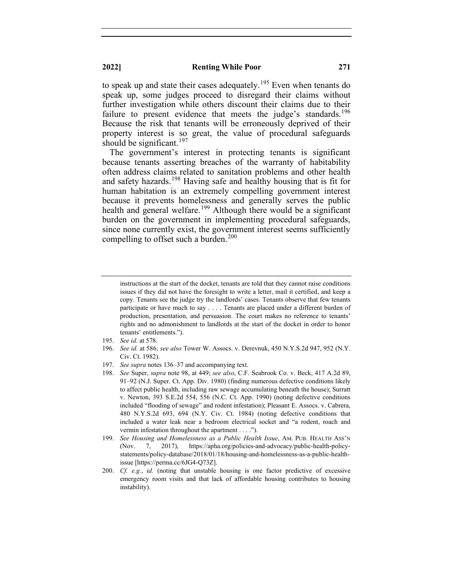to speak up and state their cases adequately.<sup>[195](#page-25-0)</sup> Even when tenants do speak up, some judges proceed to disregard their claims without further investigation while others discount their claims due to their failure to present evidence that meets the judge's standards.<sup>[196](#page-25-1)</sup> Because the risk that tenants will be erroneously deprived of their property interest is so great, the value of procedural safeguards should be significant.<sup>[197](#page-25-2)</sup>

The government's interest in protecting tenants is significant because tenants asserting breaches of the warranty of habitability often address claims related to sanitation problems and other health and safety hazards.<sup>[198](#page-25-3)</sup> Having safe and healthy housing that is fit for human habitation is an extremely compelling government interest because it prevents homelessness and generally serves the public health and general welfare.<sup>[199](#page-25-4)</sup> Although there would be a significant burden on the government in implementing procedural safeguards, since none currently exist, the government interest seems sufficiently compelling to offset such a burden.<sup>[200](#page-25-5)</sup>

- 195. *See id.* at 578.
- <span id="page-25-1"></span><span id="page-25-0"></span>196. *See id.* at 586; *see also* Tower W. Assocs. v. Derevnuk, 450 N.Y.S.2d 947, 952 (N.Y. Civ. Ct. 1982).
- <span id="page-25-2"></span>197. *See supra* notes 136–37 and accompanying text.
- <span id="page-25-3"></span>198. *See* Super, *supra* note 98, at 449; *see also*, C.F. Seabrook Co. v. Beck, 417 A.2d 89, 91–92 (N.J. Super. Ct. App. Div. 1980) (finding numerous defective conditions likely to affect public health, including raw sewage accumulating beneath the house); Surratt v. Newton, 393 S.E.2d 554, 556 (N.C. Ct. App. 1990) (noting defective conditions included "flooding of sewage" and rodent infestation); Pleasant E. Assocs. v. Cabrera, 480 N.Y.S.2d 693, 694 (N.Y. Civ. Ct. 1984) (noting defective conditions that included a water leak near a bedroom electrical socket and "a rodent, roach and vermin infestation throughout the apartment . . . .").
- <span id="page-25-4"></span>199. *See Housing and Homelessness as a Public Health Issue*, AM. PUB. HEALTH ASS'N (Nov. 7, 2017), https://apha.org/policies-and-advocacy/public-health-policystatements/policy-database/2018/01/18/housing-and-homelessness-as-a-public-healthissue [https://perma.cc/6JG4-Q73Z].
- <span id="page-25-5"></span>200. *Cf. e.g.*, *id.* (noting that unstable housing is one factor predictive of excessive emergency room visits and that lack of affordable housing contributes to housing instability).

instructions at the start of the docket, tenants are told that they cannot raise conditions issues if they did not have the foresight to write a letter, mail it certified, and keep a copy. Tenants see the judge try the landlords' cases. Tenants observe that few tenants participate or have much to say . . . . Tenants are placed under a different burden of production, presentation, and persuasion. The court makes no reference to tenants' rights and no admonishment to landlords at the start of the docket in order to honor tenants' entitlements.").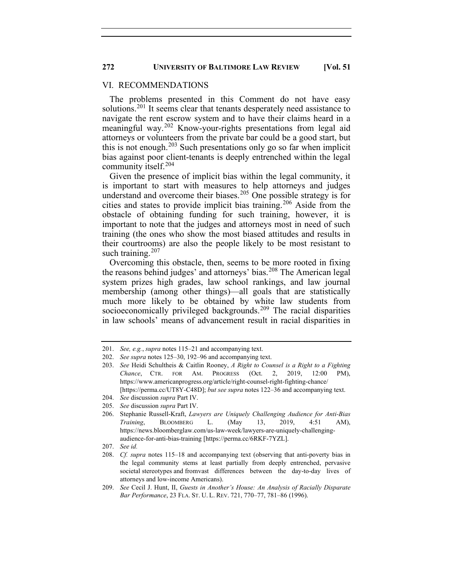#### VI. RECOMMENDATIONS

The problems presented in this Comment do not have easy solutions.<sup>[201](#page-26-0)</sup> It seems clear that tenants desperately need assistance to navigate the rent escrow system and to have their claims heard in a meaningful way.<sup>[202](#page-26-1)</sup> Know-your-rights presentations from legal aid attorneys or volunteers from the private bar could be a good start, but this is not enough. $203$  Such presentations only go so far when implicit bias against poor client-tenants is deeply entrenched within the legal community itself.<sup>[204](#page-26-3)</sup>

Given the presence of implicit bias within the legal community, it is important to start with measures to help attorneys and judges understand and overcome their biases. [205](#page-26-4) One possible strategy is for cities and states to provide implicit bias training.[206](#page-26-5) Aside from the obstacle of obtaining funding for such training, however, it is important to note that the judges and attorneys most in need of such training (the ones who show the most biased attitudes and results in their courtrooms) are also the people likely to be most resistant to such training. $207$ 

Overcoming this obstacle, then, seems to be more rooted in fixing the reasons behind judges' and attorneys' bias.<sup>[208](#page-26-7)</sup> The American legal system prizes high grades, law school rankings, and law journal membership (among other things)—all goals that are statistically much more likely to be obtained by white law students from socioeconomically privileged backgrounds.<sup>[209](#page-26-8)</sup> The racial disparities in law schools' means of advancement result in racial disparities in

- <span id="page-26-5"></span><span id="page-26-4"></span>206. Stephanie Russell-Kraft, *Lawyers are Uniquely Challenging Audience for Anti-Bias Training*, BLOOMBERG L. (May 13, 2019, 4:51 AM), https://news.bloomberglaw.com/us-law-week/lawyers-are-uniquely-challengingaudience-for-anti-bias-training [https://perma.cc/6RKF-7YZL].
- <span id="page-26-7"></span><span id="page-26-6"></span>207. *See id.*
- 208. *Cf. supra* notes 115–18 and accompanying text (observing that anti-poverty bias in the legal community stems at least partially from deeply entrenched, pervasive societal stereotypes and fromvast differences between the day-to-day lives of attorneys and low-income Americans).
- <span id="page-26-8"></span>209. *See* Cecil J. Hunt, II, *Guests in Another's House: An Analysis of Racially Disparate Bar Performance*, 23 FLA. ST. U. L. REV. 721, 770–77, 781–86 (1996).

<span id="page-26-0"></span><sup>201.</sup> *See, e.g.*, *supra* notes 115–21 and accompanying text.

<span id="page-26-1"></span><sup>202.</sup> *See supra* notes 125–30, 192–96 and accompanying text.

<span id="page-26-2"></span><sup>203.</sup> *See* Heidi Schultheis & Caitlin Rooney, *A Right to Counsel is a Right to a Fighting Chance*, CTR. FOR AM. PROGRESS (Oct. 2, 2019, 12:00 PM), https://www.americanprogress.org/article/right-counsel-right-fighting-chance/ [https://perma.cc/UT8Y-C48D]; *but see supra* notes 122–36 and accompanying text.

<span id="page-26-3"></span><sup>204.</sup> *See* discussion *supra* Part IV.

<sup>205.</sup> *See* discussion *supra* Part IV.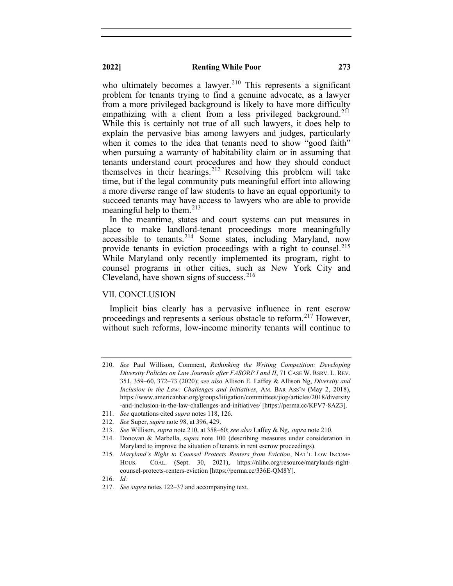who ultimately becomes a lawyer.<sup>[210](#page-27-0)</sup> This represents a significant problem for tenants trying to find a genuine advocate, as a lawyer from a more privileged background is likely to have more difficulty empathizing with a client from a less privileged background.<sup>[211](#page-27-1)</sup> While this is certainly not true of all such lawyers, it does help to explain the pervasive bias among lawyers and judges, particularly when it comes to the idea that tenants need to show "good faith" when pursuing a warranty of habitability claim or in assuming that tenants understand court procedures and how they should conduct themselves in their hearings.<sup>[212](#page-27-2)</sup> Resolving this problem will take time, but if the legal community puts meaningful effort into allowing a more diverse range of law students to have an equal opportunity to succeed tenants may have access to lawyers who are able to provide meaningful help to them. $213$ 

In the meantime, states and court systems can put measures in place to make landlord-tenant proceedings more meaningfully accessible to tenants.<sup>[214](#page-27-4)</sup> Some states, including Maryland, now provide tenants in eviction proceedings with a right to counsel.<sup>[215](#page-27-5)</sup> While Maryland only recently implemented its program, right to counsel programs in other cities, such as New York City and Cleveland, have shown signs of success. $216$ 

#### VII. CONCLUSION

Implicit bias clearly has a pervasive influence in rent escrow proceedings and represents a serious obstacle to reform.<sup>[217](#page-27-7)</sup> However, without such reforms, low-income minority tenants will continue to

<span id="page-27-0"></span><sup>210.</sup> *See* Paul Willison, Comment, *Rethinking the Writing Competition: Developing Diversity Policies on Law Journals after FASORP I and II*, 71 CASE W. RSRV. L. REV. 351, 359–60, 372–73 (2020); *see also* Allison E. Laffey & Allison Ng, *Diversity and Inclusion in the Law: Challenges and Initiatives*, AM. BAR ASS'N (May 2, 2018), https://www.americanbar.org/groups/litigation/committees/jiop/articles/2018/diversity -and-inclusion-in-the-law-challenges-and-initiatives/ [https://perma.cc/KFV7-8AZ3].

<span id="page-27-1"></span><sup>211.</sup> *See* quotations cited *supra* notes 118, 126.

<sup>212.</sup> *See* Super, *supra* note 98, at 396, 429.

<span id="page-27-3"></span><span id="page-27-2"></span><sup>213.</sup> *See* Willison, *supra* note 210, at 358–60; *see also* Laffey & Ng, *supra* note 210.

<span id="page-27-4"></span><sup>214.</sup> Donovan & Marbella, *supra* note 100 (describing measures under consideration in Maryland to improve the situation of tenants in rent escrow proceedings).

<span id="page-27-5"></span><sup>215.</sup> *Maryland's Right to Counsel Protects Renters from Eviction*, NAT'L LOW INCOME HOUS. COAL. (Sept. 30, 2021), https://nlihc.org/resource/marylands-rightcounsel-protects-renters-eviction [https://perma.cc/336E-QM8Y].

<span id="page-27-6"></span><sup>216.</sup> *Id.*

<span id="page-27-7"></span><sup>217.</sup> *See supra* notes 122–37 and accompanying text.